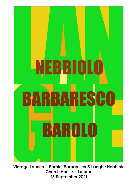

**Vintage Launch – Barolo, Barbaresco & Langhe Nebbiolo Church House – London 15 September 2021**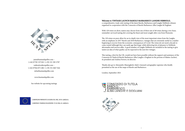### Welcome to VINTAGE LAUNCH BAROLO BARBARESCO LANGHE NEBBIOLO,

a comprehensive, trade-only tasting of the latest Barolo, Barbaresco and Langhe Nebbiolo releases organised in cooperation with the Consorzio of Barolo Barbaresco Alba Langhe & Dogliani.

With 120 wines on show, tasters may choose from one of three sets of 40 wines during a two-hour, sommelier-serviced tasting slot covering the finest and most sought-after crus from Piemonte.

The 120 wines on pour allow for an in-depth view of the most important wines from the Langhe, with an emphasis on 2017 Barolo and 2018 Barbaresco, vintages that are extremely useful in a market beginning to recover from the economic consequences of Covid. The wines do not need a decade to come round (although they can easily age that long), while delivering lots of pleasure to Nebbiolo aficionados and novices alike. A good number of Langhe Nebbiolo are included in the tasting to give tasters an idea of what quality can be expected in the next few vintages.

This tasting, a first for the UK, would not have been possible without the support and assistance of the Consorzio di Tutela di Barolo Barbaresco Alba Langhe e Dogliani in the persons of Matteo Ascheri, its president and Andrea Ferrero, its director.

Thanks also go to Alessandro Masnaghetti, Italy's vineyard cartographer supremo who kindly permitted us the use of the maps of Barolo and Barbaresco.

London, September 2021







jane@huntandspeller.com – (+44) 07785 337328 / (+39) 331 385 2787 walter@walterspeller.com – [\(+44\) 07944 875 280 / \(+39\) 351 840 7444](http://www.huntandspeller.com)  info@huntandspeller.com

www.huntandspeller.com

See website for upcoming tastings



CAMPAGNA FINANZIATA AI SENSI DEL REG. UE N. 1308/2013 CAMPAIGN FINANCED ACCORDING TO EU REG. N. 1308/2013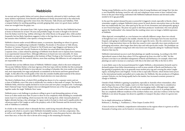# **Nebbiolo**

An ancient and top quality Italian red variety almost exclusively cultivated in Italy's northeast, with many stylistics expressions, from Barolo's and Barbaresco's firmly structured reds to the seductively elegant but nevertheless ageworthy wines from Alto Piemonte, Valle d'Aosta and Valtellina. With a rampant fashion for anything sparkling currently gripping Italy, some very good classic method wines are wrought from the grape, too.

First mentioned in a document from 1266, it gives strong evidence of the fact that Nebbiolo has been at home in Piemonte for at least 750 years and probably longer. Its name is thought to be derived from the Italian word for fog, 'nebbia', referring to the white bloom on the grape's skin, while another frequently, but less likely, hypothesis suggests it refers to the fogs that are so common in Piemonte in late autumn when Nebbiolo, a late ripener, is being harvested.

Nebbiolo is known under several different names, or synonyms, depending on where it is grown: Chiavennasca in neighbouring Lombardy's Valtellina, Picotendro or Picoutener in Valle d'Aosta, Picotèner in Carema, Prunent or Prünent in Val d'Ossola near Lago Maggiore and Spanna in the provinces of Novara and Vercelli. Producers in the latter two areas believe their Spanna to be a separate clone, a claim refuted by plantings of Nebbiolo from Barolo next to Spanna from Gattinara in an experimental vineyard there. Although differences in bunch size were noticeable, Dr Anna Schneider, an expert in ampelography at the Institute of Plant Virology at the University of Turin and who was involved with the research, believes, more than anything, that difference in soil composition are responsible for this.

Currently there are four different clones of Nebbiolo: Nebbiolo Lampia, which is the most widespread. The second, Nebbiolo Michet, is the least vigorous of the four types with low fertility, but this is primarily caused by the fact that all Michet is virus infected. According to Schneider, this virus results in low yields and, more importantly, low sugar and phenolic accumulation in the berries and lower general bunch weight. As this affects the overall quality of the wine she considers healthy plant material of the utmost importance, and favours the security offered by clonal selection over mass selection.

The third is Nebbiolo Rosé, of which DNA profiling has shown it to be a separate variety and not a clone of Nebbiolo, even if the wine is stylistically very similar to that made of Lampia. The fourth is Nebbiolo Bolla, which has rapidly declined in recent years and now plays a marginal role. Confusingly, Italy's National Grape Variety Register does not distinguish between any of the four, grouping them together under the single 'Nebbiolo Nero' name.

Nebbiolo poses a real challenge to producers willing to grow it and demanding patience of wine lovers as it often needs more than 10 years to show its true complexity while shedding its considerable tannic load. It is early budding, which increases the risk of spring frost, while vineyards planted on higher altitudes having a clear advantage. Its vigour needs to be kept in check and it equally prefers the calcareous marls of the Langhe as well as the porphyry soils of Alto Piemonte and the terraced, stony soils of Valtellina in Lombardy.

It is fickle in the vineyard, where it demands the best, south facing vineyards allowing for a long growing cycle which is crucial to ripen Nebbiolo's formidable tannins. Cool sites compromise this, as well as cool vintages, although the latter can be mitigated by a merciless green harvest, often done more than once, to force the vine to devote all its energy to the remaining few bunches.

Tasting young Nebbiolos can be a chore similar to that of young Bordeaux and vintage Port, but also a, now thankfully declining, trend for soft, rich and voluptuous wines seems to have confused wine lovers in the past when being confronted with Nebbiolo's hallmark firmness and elevated acidity needed to let it age gracefully.

In the past this market demand became so powerful it triggered a trend, especially in Barolo, where winemaker sought to mitigate Nebbiolo's tannic power by much shorter maceration times on the skins than was traditionally the case, often sped up by the use of roto-fermenters and subsequently ageing it in new French barriques. The press was quick to dub these producers 'modernists', who were pitched against the 'traditionalists' who claimed that the resulting wines were no longer a faithful expression of Nebbiolo.

Often depicted, oversimplified, as a war between two radically different camps, these two schools of thought have now converged to the middle, whereby the use of barriques have become much less frequent, and ageing in traditional large oak cask now again the norm. Also the controversy caused by short v long maceration times on the skins has ceased to exist, especially since many producers are prolonging maceration, often longer than thirty days and with spectacular results. The pendulum can be said to have completely swung back with wine lovers now frequently asking for 'traditional' Barolo, whatever that may be.

Nebbiolo's international success is such that plantings are rapidly increasing. According to the 2010 Agricultural census in Italy there where 5535 ha registered up from circa 4647 in 2001. Yet this increase is not due to an unbridled enlargement of Barolo and Barbaresco, for example, where total plantings are said to increase at a snail pace with 4ha in the latter and 10ha in the first in 2014.

A more likely cause is the increased demand for Langhe Nebbiolo, a denomination formerly used to declassify grapes from loftier denominations as well as areas outside of Barolo and Barbaresco, but fast gaining in popularity due to its generally more modest price tag and covering the entire Langhe region, including Roero and Dogliani. Victim of this is especially Dolcetto, which fetches lower prices in the international market and pulled out to make place for Nebbiolo. But also producers of Dogliani, a proper Dolcetto cru, but faring equally bad in the market, face increased economic pressure to change to Nebbiolo.

Outside of Italy Nebbiolo is gaining in popularity, especially in Australia where winemakers, often after having done stints in the Langhe, want to try their hands on this variety that is considered as much a Prima Donna as Pinot Noir, and with truly encouraging results. Although many Langhe producers shake their heads at these efforts, they are nonetheless valid, even if, or perhaps because, they are completely different renditions of the northern Italian ones, and clear evidence of the fact that Nebbiolo is not about the grape, but about its capability to transport the place where it is grown into the glass.

For in-depth information on Nebbiolo: Robinson, J., Harding, J., Vouillamoz, J., Wine Grapes (London 2012)

A host of articles on Nebbiolo, comprehensive information on the regions where it is grown as well as thousands of tasting notes can be found [at: www.JancisRobinson.com](http://www.JancisRobinson.com)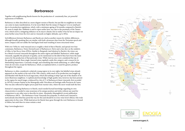# **Barbaresco**

Together with neighbouring Barolo known for the production of consistently fine, yet powerful expressions of Nebbiolo.

Barbaresco is often described as a more elegant version of Barolo, but just like its neighbour its wines can come in many manifestations. It is far more likely that the stamp of 'elegance' is in no small part due to its production regulations, which, with a minimum ageing of 26 months compared to Barolo's 38, seem to imply this. Nebbiolo is said to ripen earlier here, too, due to the proximity of the Tanaro river, which exerts a mitigating influence on its macro climate, but in reality it has far less an impact on areas further away from the river and on vineyards on higher altitudes, up to 495m.

Soil differences between Barbaresco and Barolo are cited as another reason for stylistic differences, although broadly speaking they are similar, with both calcareous clays from the Tortonian epoch and more compact soils not unlike the Sant'Agata fossil marl resulting in more structured wines.

With over 763ha its total vineyard area is roughly a third of that of Barolo, and spread over four communes, Barbaresco, Treiso (formerly part of Barbaresco), Neive and a tiny slice on the outskirts of Alba, in San Rocco Seno d'Elvio. Similar to Burgundy (and identical to Barolo), the wines can be a blend of several vineyards throughout the entire region and labelled 'Barbaresco', while single vineyards, arguably the pinnacle of quality, can be mentioned on the label if they have been the main source for the production of that particular wine. While riservas once were considered the top of the quality pyramid, these single vineyard wines regularly outdo this category, and a reason for its diminishing importance. Curiously enough, and something that needs addressing, so-called village wines do not exist, except for Barbaresco, which, as explained above, is used for generic produce throughout the region.

Barbaresco is often considered a relatively young region in its own rights, but labelled wines already appeared on the market at the end of the 19th century, while much of its production was bought up and blended with Barolo by local negociants, which did nothing to help it get out of the shadow of its more illustrious neighbour. A sophisticated knowledge of high quality sites, however, has been present in the region for much longer, evidenced by a list of 17 of Barbaresco's finest vineyards, first recorded in 1879 by Lorenzo Fantini in his Monografia sulla Viticultura ed Enologia nella Provincia di Cuneo. This was also reflected by higher prices paid from warmer sites, where the snow would melt the first.

Instead of comparing Barbaresco to Barolo, much needed factual knowledge regarding its own characteristics is needed to raise awareness of its unique position and styles without any need for comparison to any other area to describe its wines. Alessandro Masnaghetti's recent publication of Barbaresco MGA – The Barbaresco Great Vineyards Encyclopedia, in which each vineyard is meticulously described has paved the way for this and should be in every wine lover's library who truly appreciates its fine wine. While land prices for Barolo have gone through the roof, Barbaresco is bound to follow, but until then its wines remain a steal.

<http://www.langhevini.it>





**www.enogea.it.**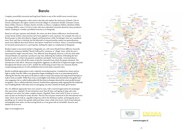# **Barolo**

Complex, powerfully structured and long lived, Barolo is one of the world's most revered wines.

The analogy with Burgundy is often used to describe and explain the intricacies of Barolo. Like its French counterpart, the region consists of several villages or communes (Roddi, Grinzane Cavour, Diano d'Alba, Cherasco, Verduno, Barolo, Novello, La Morra, Castiglione Falletto, Monforte d'Alba, Serralunga d'Alba), some 2,134 ha in total, with most individual vineyards shared by many producers within, resulting in a similar, parcellated structure as in Burgundy.

Based on soil type, exposure and altitude, the wines can show distinct differences, but historically certain broad, stylistic characteristics have been applied to each commune. For example, the wine of Barolo proper is often described as 'elegant and harmonious', while Serralunga's wines are considered more 'firm' and 'slow to develop', but the labyrinth of vineyard patches makes true generalisations much more difficult than these historic descriptors would have us believe. Hence, a sound knowledge of vineyards and producers is a prerequisite, making the region as complicated as Burgundy.

Barolo's output is structured similar to Burgundy, too, with wines blended from different vineyards in different communes labelled 'Barolo', followed by commune or 'village' wines, while the top is represented by single vineyard wines. Very different from Burgundy, however, is the fact that multi vineyard blends can represent a producer's top wine, following the tradition of blending the best parcels in order to achieve the greatest complexity and depth. Until recently, several producers labelled these wines with all the names of specific vineyards from which the grapes stemmed. The introduction of the MGA, Menzioni Geografiche Aggiunte, an official list of registered single vineyards throughout the Barolo zone in 2011, forbids the mentioning of more than one vineyard, thereby compromising producers of well-established and revered multi-vineyard wines.

Barolo's worldwide appreciation is only a relatively recent phenomenon. Considered too tannic and too high in acidity, from the 1980s a new generation began moulding the wine in an international style by reducing the time the wine spent on the skins in order to extract less tannins and using French barriques to make it more accessible. While these wines scored highly in the Italian and international wine guides and wine magazines, the so-called traditionalists felt that these techniques distorted the wine's profile beyond recognition. The so-called modernists, however, brushed these arguments aside, arguing that the traditional way of making Barolo, with many years of cask ageing, was only a remedy for harsh, green tannins.

The two different approaches have now ceased to exist, with a renewed appreciation for prolonged skin maceration, regularly 30 and sometimes more than 60 days, and ageing in large oak casks, resulting in not more, but rather complex tannins. Regularly these wines need 10 years or more to open up and can develop for many decades. This fact has not gone unnoticed in the international wine trade, which, faced with an, arguably temporary, lull in the Bordeaux market, and burgundy prices spiralling out of control, has quickly embraced these wines, while wine lovers, tired of international, exchangeable wine styles, are discovering Barolo as a true great with an inimitable character and identity all of its own.

htpp://www.langhevini.it





**[www.eno](https://www.barolomga360.it/en/)gea.it.**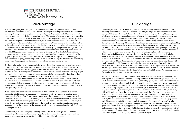

# **2020 Vintage**

The 2020 vintage began with no particular issues in winter, when temperatures were mild and precipitations and snowfalls few and far between. The first part of spring was relatively dry and sunny, ensuring a homogeneous resumption of plant growth, which began at the end of February and ended – for the later-ripening varieties – towards late March. The months of March and April were marked by fine weather and mild temperatures, with little rainfall, predicting in the first instance an early harvest. This forecast was proved wrong in May however, when a considerable number of rainy days was recorded in an unstable climate that continued until late June. On the one hand, the advantage built up at the beginning of spring was worn out by the slowing down in plant growth, while on the other hand, the accumulation of water in the soil, combined with not overly high temperatures during the summer, prevented water stress issues. As far as production volume is concerned, while early estimates tended to highlight high quantities, particularly for the early-ripening varieties, thanks to the traditional practice of green harvesting the situation was later normalized, further enhancing the quality of the grapes. In general, climate conditions were ideal, with some soil management difficulties happening towards the end of spring, due to early fungal attacks, as a result of May and June's rainfall. Fortunately, these were not accompanied by hailstorms or any other significant weather events.

The harvest began for the white grape varieties in early September, around one week earlier than the historical average. Sugar and acidity levels proved to be lower than in the past, but they remained steady during vinification, ensuring great balance between these two components which is critical for this type of wine. Harvesting continued with the Dolcetto, which has produced wines with very elegant aromas despite a drop in temperatures in some areas early in September, resulting in a slowing down in the accumulation of sugars and a delayed harvest. As far as the varieties with a longer ripening cycle, such as Barbera and Nebbiolo, are concerned, the harvest looked like being an early one as soon as veraison took place between the beginning and the middle of August. The subsequent drop in temperatures led to a temporary slowing down in ripening, which restarted exponentially in the second half of September. Barbera, in particular, immediately showed excellent parameters on analysis, with great sugar and acidity.

Nebbiolo proved to be in excellent condition when it was ready for picking: moderate overnight temperatures led to a rapid accumulation of polyphenols, which were already at excellent levels by the middle of September. Growth was constant, rather than exponential, so the grapes reached technological maturation – in other words optimal sugar levels – between the end of September and early October. In terms of acidity too, neither the Nebbiolo nor the Barbera suffered the losses typical of short-cycle and hotter vintages. This may be due to early growth resulting from the substantial supply of water at the beginning of the summer, which allowed the vines to physiologically develop in the best possible way.

In conclusion, also considering grape ripening control data, the 2020 vintage can be said to be extremely good with points of excellence, especially for the medium-long ageing wines, which are showing characteristics that are perfect for achieving winemaking distinction.

# **2019 Vintage**

Unlike last year, which was particularly precocious, the 2019 vintage will be remembered for its decidedly more conventional course. The year in the vineyard began slowly due to the winter season lasting until February. This resulted in a delay in the arrival of spring, which brought about a period of rain and low temperatures until the middle of March. Nevertheless, plant growth resumed as per normal, and though it was slowed down initially by abundant rain in April, this also allowed a considerable amount of water to accumulate in the soil, compensating for the minimal rainfall during the winter. The changeable weather with mild average temperatures continued throughout May, confirming a delay of around two weeks compared to the growth patterns that had been seen over the previous few years, but in line with more traditional development. The high temperatures during June combined with the availability of water in the soil to create the conditions for rapid plant growth, which required vinegrowers to take great care over containing any plant protection issues. The hottest period in the season was recorded between the last week in June and the first in July, followed by days on which milder temperatures alternated with rain. The second heatwave of the summer was recorded at the end of July, ending in storms which did not damage the vines even though they were intense at times; the remainder of the summer season was marked by a mild climate, with regular, sporadic rainfall that proved challenging for vignerons in terms of plant health. September began with the only hail recorded in the Langa, when considerable damage was caused in limited areas hit during the most violent storm of the season on the 5th of the month. We can say that the damage was substantial, but fortunately fairly localized to two areas on the hills around Alba, missing most of the Barolo, Barbaresco and Dogliani growing areas.

The harvest began around mid-September with the white wine grape varieties, then continued without interruption with the Dolcetto, Barbera and finally Nebbiolo. We have seen a slight drop in production for all varietals, and as a result for all appellations, benefitting quality and balance. The white wines are showing good levels of alcohol, and slightly higher acidity than the average over recent years, which should however guarantee long, fresh aromas. The dolcetto grapes – mostly picked around September 17th – are showing very well in terms of phenols and sugar accumulation, and the acid profile also suggests potential of great elegance, with pinnacles of excellence in the area around Dogliani. Along with nebbiolo, barbera is maybe the varietal that most reveals the difference vineyard aspect can make, so the peaks of heat during the summer that accompanied temperatures otherwise within the norm for our growing area allowed the barbera to reach excellent phenolic levels at harvest-time, with slightly less alcoholic potential than last year and substantial acidity. The nebbiolo grapes were picked in the second half of October, and analysis parameters show them to be "classic": in other words, with good sugar levels and an excellent polyphenol profile, which should ensure wines with good structure and excellent ageing potential. Worthy of note in particular is the high accumulation of anthocyanins, so the wines can be expected to have excellent color, especially considering the varietal's genetic properties. In conclusion, in the winery the vintage can be said to be traditional, with a quality production despite a slight drop in quantity compared to last year.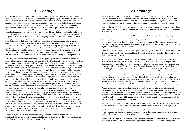# **2018 Vintage**

The 2018 vintage opened with a long winter with plenty of rainfall, restoring the soil's water supply which had diminished due to the weather conditions in the previous year. The winter season extended until the beginning of March, with temperatures which were lower than in recent years. This led to a gradual, slow resumption of the vine's vegetative phase, which was completed by the end of the same month. Bud break was regular, with none of the problems caused by late frosts. Spring continued in keeping with what had been seen at the end of the winter, with frequent rainfall and temperatures which were not high, suggesting that the vintage would develop along "classic" lines, and in any case not earlier than usual as had happened the previous year; this expectation would then be confirmed by the course of the season. Between the end of May and the beginning of June there was a period in our vinegrowing area marked by numerous storms, bringing copious rains that created some difficulties for vinegrowers from a vineyard management point of view. Indeed, problems were recorded associated with fungal diseases wherever it was not possible to intervene in time. Flowering and subsequent berry set took place regularly and in optimal climatic conditions, immediately suggesting that it would be a plentiful vintage, as proved to be the case following the closing up of the clusters of grapes. Green harvesting became necessary for nearly all varietals in order to curb production to within the limits provided for under the various production regulations. Development was gradual during the summer, with temperatures rising considerably from mid-July on, and a long period of constant fine weather helped the grapes to ripen without the harvest needing to be brought forward.

Harvesting operations began in September with the sparkling wine grapes, and continued with the other white wine grapes until around September 20th. The data at our disposal suggest not too high an alcohol content, which – together with a sufficiently high level of acidity – guarantees good support to the aromatic properties of the grapes. Dolcetto was the first red varietal to be picked, and it is showing an average sugar content, while the acidity is lower than in recent vintages, even though the levels of pH in the musts are as usual. This is due mainly to the ratio between the two main acid components: indeed, the malic acid degraded thanks to high daytime temperatures in late August-early September, while a good concentration was preserved in the grapes of the tartaric acid which formed early in the season when lower temperatures helped its synthesis. This phenomenon was also seen in the laterripening red wine varietals. The Barbera was marked by a good state of health, although there was a certain degree of disparity between vineyards, due mainly to the yields: where they were higher, the management of the vineyard was more complex, and the ripening-related parameters were also affected, recording data which were inferior to those with a lower production. As has been the case here for several years now, the weather in September was good for the vines, contributing to the quality of the wines produced using medium-long vegetative cycle varietals, which were able to benefit to the full. As a matter of fact, the Nebbiolo grapes were ripe for harvesting as per tradition in early October, with picking operations taking around three weeks in all. Unlike the other varieties, Nebbiolo yields were limited, with certain situations in which there were few clusters in parts of vineyards. This phenomenon can be attributed to the weather during the previous year, in particular the abnormal heat recorded during the period when fruit bud differentiation takes place. In both the Barolo and Barbaresco growing areas the sugar contents increased over the last part of the season, and an acceleration was also seen in the phenolic ripening, which made it possible to arrive at the harvest with excellent parameters. Combined with a perfect level of acidity, all of this will allow for well-balanced wines with excellent ageing potential.

In conclusion, we can say that its has been a vintage in the traditional mould which demanded the attention of vinegrowers in their management of the vineyard in order to achieve results which were better than had been expected at the beginning of the campaign.

# **2017 Vintage**

The 2017 vintage growing year will be remembered for its hot climate, and in particular sparse rainfall. The winter was mild, with only a few snowfalls, while spring was marked by some rain and above-average temperatures for the season. This further facilitated the vine's vegetative development, which immediately proved to be ahead of time and continued to be so for the rest of the season.

Towards the end of April, the sharp drop in temperatures recorded – especially overnight – throughout Italy caused some frost damage, though in the Langhe only the bottoms of the valleys and cooler slopes were affected.

May saw the beginning of a long period of fine weather due to the passage of numerous anticyclones.

The meteorological situation stabilized, ensuring excellent conditions in terms of plant protection, so there are no particular vineyard management issues to be reported. The maximum temperatures recorded during the summer months were above average, just as they were in the whole of Italy, but the nights were cooler than in other hot years.

Between the end of August and the beginning of September, eagerly-awaited rain helped to accumulate 25 mm of water, which partly rebalanced the water supply to the grape berries for which veraison was now well and truly underway.

Starting from the first week in September, temperatures dropped appreciably and growing patterns were nearer seasonal averages, with considerable differences between day and night temperatures. This situation was further helped by the polyphenolic profile of the red wine grapes with a medium-long vegetative cycle, such as Nebbiolo and Barbera, for which the data differed to those recorded in other "hot" vintages. As a matter of fact, the values observed this year are better in terms of both quantity – accumulation of anthocyanins and tannins – and extractability, an essential factor in wines for ageing.

From the point of view as well of the length of the vegetative cycle, many differences with other early-ripening vintages can be observed: in fact, although the period that elapsed between bud burst and technological ripening was earlier than usual this year, it still lasted an average of 185 days, while in other similar years it was around 170 compared to the 200 days of vintages considered "late-ripening". In short, the cycle was early this year, but the vine was able in any case to enjoy a full development cycle.

As regards the main components of the wines, it should be noted that although alcohol contents are significant, they are not out of the average, especially in Dolcetto and Nebbiolo base wines. Most probably this is because the vine's metabolic processes were interrupted during the hottest period, which meant that though the harvest was early, values were normal. Furthermore, a good level of pH has been recorded, while lower total acidity can be traced back to a smaller quantity of malic acid, demonstrating the excellent degree of ripening of the grapes.

The lower yield recorded in the vineyard is in keeping with a year in which there was sparse rainfall, with clusters which were compact when picked and showing must-skin percentages within average ranges.

On the basis of recorded data, this vintage can certainly be remembered as one of the earliest of recent years, given that the picking of the nebbiolo grapes began in the middle ten days of September, and ended early in October, around two weeks earlier than the norm.

The 2017 vintage has given us wines showing great promise considering the fears of the beginning of summer, confirming once more how well-suited and well-equipped the hills of the Langhe are for vinegrowing.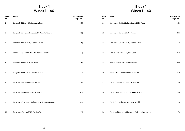# **Block 1 Wines 1 - 40**

# **Block 1 Wines 1 - 40**

| Wine<br>No. | Wine                                                    | Catalogue<br>Page No. | Wine<br>No. | Wine                                               | Catalogue<br>Page No. |
|-------------|---------------------------------------------------------|-----------------------|-------------|----------------------------------------------------|-----------------------|
| 1.          | Langhe Nebbiolo 2020, Cascina Alberta                   | (17)                  | 11.         | Barbaresco Sorì Paitin Serraboella 2018, Paitin    | (46)                  |
| 2.          | Langhe DOC Nebbiolo Tech 2019, Roberto Taverna          | (65)                  | 12.         | Barbaresco Basarin 2018, Sottimano                 | (64)                  |
| 3.          | Langhe Nebbiolo 2020, Cascina Chicco                    | (18)                  | 13.         | Barbaresco Giacone 2018, Cascina Alberta           | (17)                  |
| 4.          | Rurem Langhe Nebbiolo 2019, Agostino Bosco              | (12)                  | 14.         | Barolo Paesi Tuoi 2017, Vite Colte                 | (69)                  |
| 5.          | Langhe Nebbiolo 2019, Marrone                           | (36)                  | 15.         | Barolo Tresurì 2017, Mauro Sebaste                 | (61)                  |
| 6.          | Langhe Nebbiolo 2018, Castello di Perno                 | (21)                  | 16.         | Barolo 2017, Oddero Poderi e Cantine               | (44)                  |
| 7.          | Barbaresco 2018, Giuseppe Cortese                       | (28)                  | 17.         | Barolo Pietrin 2017, Franco Conterno               | (27)                  |
| 8.          | Barbaresco Riserva Pora 2016, Musso                     | (42)                  | 18.         | Barolo "Riva Rocca" 2017, Claudio Alario           | (2)                   |
| 9.          | Barbaresco Bricco San Giuliano 2018, Pelissero Pasquale | (47)                  | 19.         | Barolo Monvigliero 2017, Pietro Rinaldi            | (56)                  |
| 10.         | Barbaresco Canova 2018, Cascina Vano                    | (19)                  | 20.         | Barolo del Comune di Barolo 2017, Famiglia Anselma | (5)                   |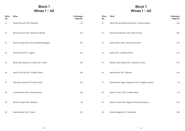# **Block 1 Wines 1 - 40**

# **Block 1 Wines 1 - 40**

| Wine<br>No. | Wine                                           | Catalogue<br>Page No. | Wine<br>No. | Wine                                                   | Catalogue<br>Page No. |
|-------------|------------------------------------------------|-----------------------|-------------|--------------------------------------------------------|-----------------------|
| 21.         | Barolo Boscareto 2017, Batasiolo               | (8)                   | 31.         | Barolo Rocche dell'Annunziata 2017, Aurelio Settimo    | (62)                  |
| 22.         | Barolo Sarmassa 2017, Marchesi di Barolo       | (35)                  | 32.         | Barolo Bric del Fiasco 2017, Paolo Scavino             | (60)                  |
| 23.         | Barolo Cannubi 2017, Serio & Battista Borgogno | (10)                  | 33.         | Barolo Villero 2017, Giacomo Fenocchio                 | (31)                  |
| 24.         | Barolo Ravera 2017, Cagliero                   | (16)                  | 34.         | Barolo 2017, Castello di Perno                         | (21)                  |
| 25.         | Barolo del Comune di La Morra 2017, Dosio      | (30)                  | 35.         | Barolo Ciabot Mentin 2017, Domenico Clerico            | (25)                  |
| 26.         | Barolo Case Nere 2017, Fratelli Casetta        | (20)                  | 36.         | Barolo Bussia 2017, Marrone                            | (36)                  |
| 27.         | Marcenasco Barolo 2017, Renato Ratti           | (52)                  | 37.         | Barolo Bussia Vigna Pianpolvere 2017, Famiglia Anselma | (5)                   |
| 28.         | La Serra Barolo 2017, Massimo Penna            | (48)                  | 38.         | Barolo "Sorano" 2017, Claudio Alario                   | (2)                   |
| 29.         | Barolo Cerequio 2017, Batasiolo                | (8)                   | 39.         | Barolo Cerretta 2017, Bugia Nen/Davide Fregonese       | (14)                  |
| 30.         | Barolo Brunate 2017, Ceretto                   | (22)                  | 40.         | Barolo Margheria 2017, Massolino                       | (38)                  |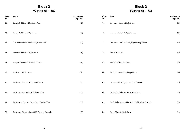# **Block 2 Wines 41 - 80**

# **Block 2 Wines 41 - 80**

| Wine<br>No. | Wine                                              | Catalogue<br>Page No. | Wine<br>No. | Wine                                                 | Catalogue<br>Page No. |
|-------------|---------------------------------------------------|-----------------------|-------------|------------------------------------------------------|-----------------------|
| 41.         | Langhe Nebbiolo 2020, Albino Rocca                | (3)                   | 51.         | Barbaresco Canova 2018, Ressia                       | (53)                  |
| 42.         | Langhe Nebbiolo 2020, Brezza                      | (13)                  | 52.         | Barbaresco Cottá 2018, Sottimano                     | (64)                  |
| 43.         | Ochetti Langhe Nebbiolo 2019, Renato Ratti        | (52)                  | 53.         | Barbaresco Rombone 2018, Vigneti Luigi Oddero        | (45)                  |
| 44.         | Langhe Nebbiolo 2019, Scarzello                   | (59)                  | 54.         | Barolo 2017, Sordo                                   | (63)                  |
| 45.         | Langhe Nebbiolo 2018, Fratelli Casetta            | (20)                  | 55.         | Barolo Pio 2017, Pio Cesare                          | (22)                  |
| 46.         | Barbaresco 2018, Piazzo                           | (50)                  | 56.         | Barolo Zinzasco 2017, Diego Morra                    | (41)                  |
| 47.         | Barbaresco Ronchi 2018, Albino Rocca              | (3)                   | 57.         | Barolo Acclivi 2017, Comm. G. B. Burlotto            | (15)                  |
| 48.         | Barbaresco Roncaglie 2018, Poderi Colla           | (51)                  | 58.         | Barolo Monvigliero 2017, Arnaldorivera               | (6)                   |
| 49.         | Barbaresco Pilone nei Rivetti 2018, Cascina Vano  | (19)                  | 59.         | Barolo del Comune di Barolo 2017, Marchesi di Barolo | (35)                  |
| 50.         | Barbaresco Cascina Crosa 2018, Pelissero Pasquale | (47)                  | 60.         | Barolo Terlo 2017, Cagliero                          | (16)                  |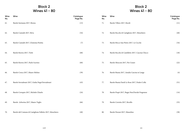# **Block 2 Wines 41 - 80**

# **Block 2 Wines 41 - 80**

| Wine<br>No. | Wine                                                      | Catalogue<br>Page No. | Wine<br>No. | Wine                                              | Catalogue<br>Page No. |
|-------------|-----------------------------------------------------------|-----------------------|-------------|---------------------------------------------------|-----------------------|
| 61.         | Barolo Sarmassa 2017, Brezza                              | (13)                  | 71.         | Barolo Villero 2017, Boroli                       | (11)                  |
| 62.         | Barolo Cannubi 2017, Réva                                 | (54)                  | 72.         | Barolo Rocche di Castiglione 2017, Monchiero      | (40)                  |
| 63.         | Barolo Cannubi 2017, L'Astemia Pentita                    | (7)                   | 73.         | Barolo Bricco San Pietro 2017, Le Cecche          | (34)                  |
| 64.         | Barolo Ravera 2017, Vietti                                | (68)                  | 74.         | Barolo Rocche di Castelletto 2017, Cascina Chicco | (18)                  |
| 65.         | Barolo Ravera 2017, Paolo Scavino                         | (60)                  | 75.         | Barolo Mosconi 2017, Pio Cesare                   | (22)                  |
| 66.         | Barolo Conca 2017, Mauro Molino                           | (39)                  | 76.         | Barolo Bussia 2017, Amalia Cascina in Langa       | (4)                   |
| 67.         | Barolo Serradenari 2017, Giulia Negri/Serradenari         | (43)                  | 77.         | Barolo Bussia Dardi Le Rose 2017, Poderi Colla    | (51)                  |
| 68.         | Barolo Cerequio 2017, Michele Chiarlo                     | (24)                  | 78.         | Barolo Prapò 2017, Bugia Nen/Davide Fregonese     | (14)                  |
| 69.         | Barolo Arborina 2017, Mauro Veglio                        | (66)                  | 79.         | Barolo Cerretta 2017, Revello                     | (55)                  |
| 70.         | Barolo del Comune di Castiglione Falletto 2017, Monchiero | (40)                  | 80.         | Barolo Parussi 2017, Massolino                    | (38)                  |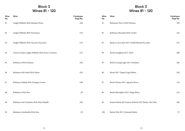# **Block 3 Wines 81 - 120**

# **Block 3 Wines 81 - 120**

| Wine<br>No. | Wine                                                  | Catalogue<br>Page No. | Wine<br>No. | Wine                                                        | Catalogue<br>Page No. |
|-------------|-------------------------------------------------------|-----------------------|-------------|-------------------------------------------------------------|-----------------------|
| 81.         | Langhe Nebbiolo 2020, Massimo Penna                   | (48)                  | 91.         | Barbaresco Nervo 2018, Pertinace                            | (49)                  |
| 82.         | Langhe Nebbiolo 2020, Fortemasso                      | (32)                  | 92.         | Barbaresco Bernadot 2018, Ceretto                           | (22)                  |
| 83.         | Langhe Nebbiolo 2019, Giacomo Fenocchio               | (31)                  | 93.         | Barolo Lo Zoccolaio 2017, Fratelli Martini/Zoccolaio        | (37)                  |
| 84.         | Cascina Sciulun Langhe Nebbiolo 2019, Franco Conterno | (27)                  | 94.         | Barolo Castiglione 2017, Vietti                             | (68)                  |
| 85.         | Barbaresco 2018, Pertinace                            | (49)                  | 95.         | Barolo Lecinquevigne 2017, Damilano                         | (29)                  |
| 86.         | Barbaresco Rio Sordo 2016, Musso                      | (42)                  | 96.         | Barolo 2017, Vigneti Luigi Oddero                           | (45)                  |
| 87.         | Barbaresco Rabajà 2018, Giuseppe Cortese              | (28)                  | 97.         | Barolo Neirane 2017, Agostino Bosco                         | (12)                  |
| 88.         | Barbaresco 2018, Bera                                 | (9)                   | 98.         | Barolo Monvigliero 2017, Diego Morra                        | (41)                  |
| 89.         | Barbaresco San Cristoforo 2018, Pietro Rinaldi        | (56)                  | 99.         | Essenze Barolo del Comune di Barolo 2017 Barolo, Vite Colte | (69)                  |
| 90.         | Barbaresco Serraboella 2018, Bera                     | (9)                   | 100.        | Barolo Terlo 2017, L'Astemia Pentita                        | (7)                   |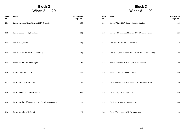# **Block 3 Wines 81 - 120**

# **Block 3 Wines 81 - 120**

| Wine<br>No. | Wine                                                  | Catalogue<br>Page No. | Wine<br>No. | Wine                                                      | Catalogue<br>Page No. |
|-------------|-------------------------------------------------------|-----------------------|-------------|-----------------------------------------------------------|-----------------------|
| 101.        | Barolo Sarmassa Vigna Merenda 2017, Scarzello         | (59)                  | $111.$      | Barolo Villero 2017, Oddero Poderi e Cantine              | (44)                  |
| 102.        | Barolo Cannubi 2017, Damilano                         | (29)                  | 112.        | Barolo del Comune di Monforte 2017, Domenico Clerico      | (25)                  |
| 103.        | Barolo 2017, Piazzo                                   | (50)                  | 113.        | Barolo Castelletto 2017, Fortemasso                       | (32)                  |
| 104.        | Barolo Cascina Nuova 2017, Elvio Cogno                | (26)                  | 114.        | Barolo Le Coste di Monforte 2017, Amalia Cascina in Langa | (4)                   |
| 105.        | Barolo Ravera 2017, Elvio Cogno                       | (26)                  | 115.        | Barolo Pressenda 2016 2017, Marziano Abbona               | (1)                   |
| 106.        | Barolo Conca 2017, Revello                            | (55)                  | 116.        | Barolo Bussia 2017, Fratelli Giacosa                      | (33)                  |
| 107.        | Barolo Serradenari 2017, Dosio                        | (30)                  | 117.        | Barolo del Comune di Serralunga 2017, Giovanni Rosso      | (58)                  |
| 108.        | Barolo Gattera 2017, Mauro Veglio                     | (66)                  | 118.        | Barolo Prapò 2017, Luigi Vico                             | (67)                  |
| 109.        | Barolo Rocche dell'Annunziata 2017, Rocche Costamagna | (57)                  | 119.        | Barolo Cerretta 2017, Mauro Sebaste                       | (61)                  |
| 110.        | Barolo Brunella 2017, Boroli                          | (11)                  | 120.        | Barolo Vignarionda 2017, Arnaldorivera                    | (6)                   |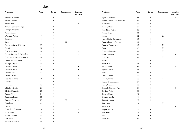# **Index**

| Producer                        | Page           | <b>Barolo</b>             | <b>Barbaresco</b> | Langhe<br>Producer<br>Nebbiolo |                                 | Page | <b>Barolo</b> | <b>Barbaresco</b> | Langhe<br>Nebbiolo |
|---------------------------------|----------------|---------------------------|-------------------|--------------------------------|---------------------------------|------|---------------|-------------------|--------------------|
| Abbona, Marziano                | 1              | $\boldsymbol{\mathrm{X}}$ |                   |                                | Agricola Marrone                | 36   | X             |                   | $\mathbf X$        |
| Alario, Claudio                 | $\overline{2}$ | $\mathbf X$               |                   |                                | Fratelli Martini - Lo Zoccolaio | 37   | $\mathbf X$   |                   |                    |
| Albino Rocca                    | $\mathfrak{Z}$ |                           | $\mathbf X$       | $\mathbf X$                    | Massolino                       | 38   | $\mathbf X$   |                   |                    |
| Amalia Cascina in Langa         | $\overline{4}$ | $\boldsymbol{\mathrm{X}}$ |                   |                                | Molino, Mauro                   | 39   | $\mathbf X$   |                   |                    |
| Famiglia Anselma                | 5              | $\mathbf X$               |                   |                                | Monchiero Fratelli              | 40   | $\mathbf X$   |                   |                    |
| ArnaldoRivera                   | 6              | $\mathbf X$               |                   |                                | Morra, Diego                    | 41   | X             |                   |                    |
| L'Astemia Pentita               | $\overline{7}$ | $\mathbf X$               |                   |                                | Musso                           | 42   |               | $\mathbf X$       |                    |
| Batasiolo                       | 8              | $\mathbf X$               |                   |                                | Negri, Giulia - Serradenari     | 43   | $\mathbf X$   |                   |                    |
| Bera                            | 9              |                           | $\mathbf X$       |                                | Oddero Poderi e Cantine         | 44   | $\mathbf X$   |                   |                    |
| Borgogno, Serio & Battista      | 10             | $\mathbf X$               |                   |                                | Oddero, Vigneti Luigi           | 45   | $\mathbf X$   | $\mathbf X$       |                    |
| Boroli                          | 11             | $\mathbf X$               |                   |                                | Paitin                          | 46   |               | $\mathbf X$       |                    |
| Bosco, Agostino                 | 12             | $\mathbf X$               |                   | $\mathbf X$                    | Pelissero, Pasquale             | 47   |               | $\mathbf X$       |                    |
| Brezza Giacomo & Figli dal 1885 | 13             | $\mathbf X$               |                   | $\mathbf X$                    | Penna, Massimo                  | 48   |               | $\mathbf X$       | $\mathbf X$        |
| Bugia Nen - Davide Fregonese    | 14             | $\mathbf X$               |                   |                                | Pertinace                       | 49   |               | $\mathbf X$       |                    |
| Comm. G. B. Burlotto            | 15             | $\mathbf X$               |                   |                                | Piazzo                          | 50   | $\mathbf X$   | $\mathbf X$       |                    |
| Az. Agr. Cagliero               | 16             | $\mathbf X$               |                   |                                | Poderi Colla                    | 51   | X             | $\mathbf X$       |                    |
| Cascina Alberta                 | 17             |                           | X                 | $\mathbf X$                    | Ratti, Renato                   | 52   | $\mathbf X$   |                   | X                  |
| Cascina Chicco                  | 18             | $\mathbf X$               |                   | $\mathbf X$                    | Agricola Ressia                 | 53   |               | $\mathbf X$       |                    |
| Cascina Vano                    | 19             |                           | $\mathbf X$       |                                | Réva                            | 54   | $\mathbf X$   |                   |                    |
| Fratelli Casetta                | 20             | $\mathbf X$               |                   | $\mathbf X$                    | Revello Fratelli                | 55   | $\mathbf X$   |                   |                    |
| Castello di Perno               | 21             | $\mathbf X$               |                   | $\mathbf X$                    | Rinaldi, Pietro                 | 56   | X             | $\mathbf X$       |                    |
| Ceretto                         | 22             | $\mathbf X$               | $\mathbf X$       |                                | Rocche di Costamagna            | 57   | $\mathbf X$   |                   |                    |
| Pio Cesare                      | 23             | X                         |                   |                                | Rosso, Giovanni                 | 58   | X             |                   |                    |
| Chiarlo, Michele                | 24             | $\mathbf X$               |                   |                                | Scarzello Giorgio e Figli       | 59   | X             |                   | X                  |
| Clerico, Domenico               | 25             | $\mathbf X$               |                   |                                | Scavino, Paolo                  | 60   | $\mathbf X$   |                   |                    |
| Cogno, Elvio                    | 26             | $\mathbf X$               |                   |                                | Sebaste, Mauro                  | 61   | $\mathbf X$   |                   |                    |
| Conterno, Franco                | 27             | $\mathbf X$               |                   | $\mathbf X$                    | Settimo, Aurelio                | 62   | $\mathbf X$   |                   |                    |
| Cortese, Giuseppe               | 28             |                           | X                 |                                | Sordo, Giovanni                 | 63   | $\mathbf X$   |                   |                    |
| Damilano                        | 29             | $\mathbf X$               |                   |                                | Sottimano                       | 64   |               | $\mathbf X$       |                    |
| Dosio                           | 30             | $\mathbf X$               |                   |                                | Taverna, Roberto                | 65   |               |                   | $\mathbf X$        |
| Fenocchio, Giacomo              | 31             | $\mathbf X$               |                   | $\mathbf X$                    | Veglio, Mauro                   | 66   | $\mathbf X$   |                   |                    |
| Fortemasso                      | 32             | $\mathbf X$               |                   | $\mathbf X$                    | Vico, Luigi                     | 67   | $\mathbf X$   |                   |                    |
| Fratelli Giacosa                | 33             | $\mathbf X$               |                   |                                | Vietti                          | 68   | $\mathbf X$   |                   |                    |
| Le Cecche                       | 34             | $\mathbf X$               |                   |                                | Vite Colte                      | 69   | $\mathbf X$   |                   |                    |
| Marchesi di Barolo              | 35             | X                         |                   |                                |                                 |      |               |                   |                    |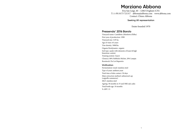# **Marziano Abbona**

B.ta San Luigi, 40 – 12063 Dogliani (CN) T: (+39) 0173 721317 abbona@abbona.com www.abbona.com Contact: Chiara Abbona

## **Seeking UK representation**

Estate founded 1970

## **Pressenda' 2016 Barolo**

Vineyard name: Castelletto (Monforte d'Alba) First year of production: 1998 Vineyard size: 3,95 ha Age of vines: 65 years Vine density: 5000/ha Organic/biodynamic: organic Soil type: sandy with elements of loam & high limestone content Training system: Guyot Clone(s): 80% Nebbiolo Michet, 20% Lampia Rootstock: Du Lot Rupestris

### **Vinification**

Fermentation vessel: stainless steel Type of yeast: ambient yeast Total time of skin contact: 50 days Main extraction method: submersed cap (cappello sommerso) MLF: stainless steel Ageing: 38 months in 35 and 50hl oak casks Total bottle age: 10 months % ABV: 15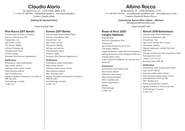# **Claudio Alario**

Via Santa Croce 23 – 12055 Diano d'Alba (CN) T: (+39) 333 1603384 info@alarioclaudio.it www.alarioclaudio.it Contact: Claudio Alario

### **Seeking UK representation**

### Estate founded 1900

## **Riva Rocca 2017 Barolo**

Vineyard name: Riva Rocca (Verduno) First year of production: 1995 Vineyard size: 1 ha Age of vines: 25 years Vine density: 4000/ha Soil type: Tortonian clay Training system: Guyot Clone(s): Lampia Rootstock: SO4 (Selection Oppenheim 4)

### **Vinification**

Fermentation vessel: rotofermenters Type of yeast: selected Total time of skin contact: 18 days Main extraction method: MLF: in stainless steel Ageing: 24 months in barriques & 12 months in 30hl. oak casks Total bottle age: 5 months % ABV: 14.5

# **Sorano 2017 Barolo**

Vineyard name: Sorano (Diano d'Alba) First year of production: 2004 Vineyard size: 1 ha Age of vines: 20 years Vine density: 4000/ha Soil type: marl and clay Training system: Guyot Clone(s): Lampia Rootstock: SO4 (Selection Oppenheim 4)

### **Vinification**

Fermentation vessel: rotofermenter Type of yeast: selected Total time of skin contact: 18 days Main extraction method: MLF: in stainless steel Ageing: 24 months in barriques & 12 months in 30hl oak casks Total bottle age: 5 months % ABV: 14.5

# **Albino Rocca**

Strada Ronchi, 18 – 12050 Barbaresco (CN) T: (+39) 0173 635145 roccaalbino@roccaalbino.com www.albinorocca.com Contact: Daniela & Monica Rocca

> **Imported by: Astrum Wine Cellars – Mitcham** bbesa@astrumwinecellars.com

> > Estate founded 1940

## **Rosso di Rocc 2020 Langhe Nebbiolo**

## Vineyard name: First year of production: 2016 Vineyard size: Age of vines: between 20 and 54 years Vine density: 4000/ha Organic/biodynamic: certified 'The Green Experience' Soil type: limestone and clay interspersed with sand Training system: Guyot Grape varieties 97% Nebbiolo, 3% Cabernet Franc Rootstock:

### **Vinification**

Fermentation vessel: Stainless steel Type of yeast: selected Total time of skin contact: Main extraction method: MLF: in stainless steel Period on the fine lees: Ageing: Total bottle age: % ABV: 14.5

# **Ronchi 2018 Barbaresco**

Vineyard name: Ronchi (Barbaresco) First year of production: 1986 Vineyard size: 3 ha Age of vines: between 40 to 70 years Vine density: 4000/ha. Organic/biodynamic: certified 'The Green Experience' Soil type: calcareus clay with a proportion of sand Training system: Guyot Clone(s): CVT CN 142 Rootstock: Kober 5BB, 420

### **Vinification**

Fermentation vessel: stainless steel, 26/28°C Type of yeast: selected Total time of skin contact: 20 days Main extraction method: pump-overs & punching-downs 2 times per day MLF: Stainless steel Period on the fine lees: 3 months Ageing: 24 months in Austrian oak casks Total bottle age: 12 months % ABV: 14.5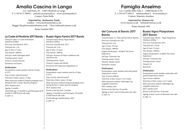# **Amalia Cascina in Langa**

Loc. Sant'Anna, 85 – 12065 Monforte in Langa T: (+39) 0173 789013 paolo@cascinaamalia.it www.cascinaamalia.it Contact: Paolo Boffa

**Imported by: Jeroboams Trade** London – www.jeroboamstrade.co.uk Maggie.Macpherson@jeroboams.co.uk Chris.Ashton@Laytons.co.uk Estate founded 2003

## **Le Coste di Monforte 2017 Barolo**

Vineyard name: Le Coste di Monforte (Monforte d'Alba) First year of production: 2010 Vineyard size: 1 ha Age of vines: 37 years Vine density: 5000/ha Soil type: sandy Sant'Agata marls Training system: Guyot Clone(s): massal selection Rootstock: not known

### **Vinification**

Fermentation vessel: stainless steel for 25 days at 25°C Type of yeast: selected neutral Total time of skin contact: 25 days Main extraction method: frequent pumping-overs during the first 2 weeks, then less frequent MLF: stainless steel Ageing: 2 months Total bottle age: 12 months in used barriques & 20 months in 26hl French oak casks

% ABV: 15

# **Bussia Vigna Fantini 2017 Barolo**

Vineyard name: Bussia Vigna Fantini (Monforte d'Alba) First year of production: 2013 Vineyard size: 1 ha Age of vines: 14 years Vine density: 5000/ha Soil type: Arenarie di Diano: sandstone and calcareous clay Training system: Guyot Clone(s): Lampia and Michet Rootstock: SO4 (Selection Oppenheim 4)

### **Vinification**

Fermentation vessel: stainless steel for 25 days at 25°C Type of yeast: selected neutral Total time of skin contact: 25 days Main extraction method: frequent pumping-overs during the first 2 weeks, then less frequent MLF: stainless steel Period on the fine lees: 2 months Ageing: 12 months in used barriques, 20 months in 26hl French oak casks Total bottle age: bottled January 2021 % ABV: 15

# **Famiglia Anselma**

Loc. Castello della Volta 3 – 12060 Barolo (CN) T: (+39) 0173 560511 info@anselma.it www.anselma.it Contact: Maurizio Anselma

> **Imported by: Vinexus Ltd** www.vinexus.co.uk website@vinexus.co.uk

> > Estate founded 1993

## **del Comune di Barolo 2017 Barolo**

# **Bussia Vigna Pianpolvere 2017 Barolo**

Vineyard name: La Volta and San Pietro (Barolo) First year of production: 2011 Vineyard size: 2 ha Age of vines: 18 years Vine density: 5000/ha Organic/biodynamic: certified 'The Green Experience' Soil type: Tortonian clay Training system: Guyot Clone(s): Michet and 81 Rootstock: various

### **Vinification**

Fermentation vessel: stainless steel with partial temperature control Type of yeast: ambient Total time of skin contact: 3 to 4 weeks Main extraction method: submerged cap (cappello sommerso) MLF: stainless steel Period on the fine lees: 24 months Ageing: at least 2 years in Slavonian oak casks % ABV: 14

Vineyard name: Bussia – Vigna Pianpolvere (Monforte d'Alba) First year of production: 2013 Vineyard size: 1.02 ha Age of vines: 15 years Vine density: 5500/ha Organic/biodynamic: certified 'The Green Experience' Soil type: Tortonian clay Training system: Guyot Clone(s): 81 Rootstock:

## **Vinification**

Fermentation vessel: stainless steel tanks with partial temperature control Type of yeast: ambient Total time of skin contact: 4 to 5 weeks Main extraction method: submerged cap (cappello sommerso) MLF: stainless steel Period on the fine lees: 30 months Ageing: at least 2 years in Slavonian oak casks % ABV: 14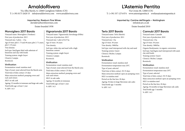# **ArnaldoRivera**

Via Alba-Barolo, 8, 12060 Castiglione Falletto (CN) T: (+39) 0173 2620 53 info@arnaldorivera.com www.arnaldorivera.com

> **Imported by: Raeburn Fine Wines** david@raeburnfinewines.com

Estate founded 1958

# **Monvigliero 2017 Barolo**

Vineyard name: Monvigliero (Verduno) First year of production: 2013 Vineyard size: 3 plots – 1 ha Age of vines: plot 1: 73 and 49 years; plot 2: 71 years; plot 3: 19 years Vine density: Soil type: Sant'Agata Marl with substrate of limestone and clay with fossils Training system: single Guyot Clone(s): Lampia Rootstock:

## **Vinification**

Fermentation vessel: stainless steel Type of yeast: yeast selected from the Barolo area Total time of skin contact: 25 days Main extraction method: pumping-overs and rack-and-return MLF: in oak cask Ageing: 32 months in tonneaux and large oak casks Total bottle age: at least 1 year % ABV: 14.5

# **Vignarionda 2017 Barolo**

Vineyard name: Vignarionda (Serralunga d'Alba) First year of production: 2013 Vineyard size: 1 plot of 0.47 ha Age of vines: 18 years Vine density: Soil type: white clay and marl with a high limestone content Training system: single Guyot Clone(s): Lampia Rootstock:

### **Vinification**

Fermentation vessel: stainless steel Type of yeast: yeast selected from the Barolo area Total time of skin contact: 25 days Main extraction method: pumping-overs and rack-and-return MLF: in oak casks Ageing: 32 months in tonneaux Total bottle age: at least 1 year % ABV: 14.5

# **L'Astemia Pentita**

Via Crosia 40, 12060 (CN) T: (+39) 337 1274 874 www.astemiapentita.it svetlana@astemiapentita.it

> **Imported by: Cantine dell'Angelo – Nottingham** info@atcars.co.uk

> > Estate founded 2010

# **Terlo 2017 Barolo**

Vineyard name: Terlo (Barolo) First year of production: 2011 Vineyard size: 1 ha Age of vines: 30 years Vine density: 5000/ha Soil type: marl interspersed with clay and sand Training system: Guyot Clone(s): Michet, Lampia Rootstock:

### **Vinification**

Fermentation vessel: stainless steel Fermentation temperature max 24°C Type of yeast: selected Total time of skin contact: 30-35 days Main extraction method: open air pumping-overs MLF: in stainless steel Period on the fine lees: 20 days Ageing: 36 days in large Slavonian oak casks Total bottle age: 3 months % ABV: 14.5

# **Cannubi 2017 Barolo**

Vineyard name: Cannubi First year of production: 2010 Vineyard size: 2 ha Age of vines: 30 years Vine density: 5000/ha Organic/biodynamic: in organic conversion Soil type: Sant'Agata marl interspersed with sand, clay and fossils Training system: Guyot Clone(s): Michet, Lampia Rootstock:

## **Vinification**

Fermentation vessel: stainless steel Fermentation temperature max 24°C Type of yeast: selected Total time of skin contact: 30-35 days Main extraction method: open air pumping-overs MLF: in stainless steel Period on the fine lees: 20 days Ageing: 36 months in large Slavonian oak casks Total bottle age: 3 months % ABV: 14.5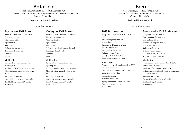# **Batasiolo**

Frazione Annunziata, 87 – 12064 La Morra (CN) T: (+39) 0173 50130/50131 p.marrai@batasiolo.com www.batasiolo.com Contact: Paola Marrai

**Imported by: Mondial Wines**

### Estate founded 1978

## **Boscareto 2017 Barolo**

Vineyard name: Boscareto (Barolo) First year of production: Vineyard size: 2 ha Age of vines: Vine density: Soil type: calcareous clay Training system: Guyot Clone(s): Rootstock:

### **Vinification**

Fermentation vessel: stainless steel Type of yeast: Total time of skin contact: 10 – 12 days Main extraction method: pump-overs MLF: Period on the fine lees:

Ageing: 30 months in large oak casks Total bottle age: around 20 months % ABV: 14.5

# **Cerequio 2017 Barolo**

Vineyard name: Cerequio (La Morra) First year of production: Vineyard size: 2 ha Age of vines: Vine density: Soil type: fossil Sant'Agata marls, sand Training system: Guyot Clone(s): Rootstock:

### **Vinification**

% ABV: 14.5

Fermentation vessel: stainless steel Type of yeast: Total time of skin contact: 10 – 12 days Main extraction method: pump-overs MLF: Period on the fine lees: Ageing: 30 months in large oak casks Total bottle age: around 20 months

**Bera**

Via Castellero, 12 – 12050 Neviglie (CN) T: (+39) 0173 630500 info@bera.it www.bera.it Contact: Riccardo Bera

### **Seeking UK representation**

### Estate founded 1971

## **2018 Barbaresco**

Vineyard name: Serraboella, Balluri, Bricco di Neive First year of production: 2001 Vineyard size: 1,5 ha Age of vines: 20 years on average Vine density: 4300/ha. Soil type: Calcareous clay Training system: Guyot Clone(s): 71 Michet, VCR172 Rootstock: Kober 5BB, Richter 110

### **Vinification**

Fermentation vessel: stainless steel, 26/28°C Type of yeast: selected Total time of skin contact: 10 – 12 days Main extraction method: MLF: stainless steel Period on the fine lees: Ageing: 18 months in large oak casks Total bottle age: 6 months % ABV: 14.5

# **Serraboella 2018 Barbaresco**

Vineyard name: Serraboella First year of production: 2016 Vineyard size: 1,1 ha Age of vines: 15 years average Vine density: 4400/ha Soil type: Calcareous Training system: Guyot Clone(s): 71 Michet, VCR178 Rootstock: Kober 5BB, 420A

### **Vinification**

Fermentation vessel: stainless steel, 26/28°C Type of yeast: selected Total time of skin contact: 13 – 15 days Main extraction method: 3 pump-overs per day MLF: stainless steel Period on the fine lees: Ageing: 18 months in large oak casks Total bottle age: 6 months % ABV: 14.5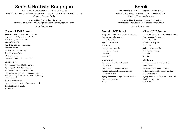# **Serio & Battista Borgogno**

Via Crosia 12, Loc. Cannubi – 12060 Barolo (CN) T: (+39) 0173 56107 info@borgognoseriobattista.it www.borgognoseriobattista.it Contact: Federica Boffa

> **Imported by: DBGItalia – London** www.dgbitalia.com david@dgbitalia.com chloe@dgbitalia.com Estate founded 1897

## **Cannubi 2017 Barolo**

Vineyard name: Cannubi – Vigna Battista, Vigna Gourat & Vigna Nuova (Barolo) First year of production: 1897 Vineyard size: 3 ha Age of vines: 30 years on average Vine density: 4000/ha Soil type: sand, silt and clay Training system: Guyot Clone(s): Lampia Rootstock: Kober 5BB – SO4 – 420A

### **Vinification**

Fermentation vessel: 150 hl oak casks Type of yeast: selected autoctonous Total time of skin contact: 25-28 days Main extraction method: frequent pumping-overs and 2 punching-downs per day (morning/evening for 20 minutes) MLF: in stainless steel Ageing: 30 months in 50 hl Slavonian oak casks Total bottle age: 11 months % ABV: 14

# **Boroli**

Via Brunella 4 – 12060 Castiglione Falletto (CN) T: (+39) 0173 62927 info@boroli.it www.boroli.com Contact: Francesco Saunitro

**Imported by: Top Selection Ltd – London** www.topselection.co.uk info@topselection.co.uk

Estate founded 1997

# **Brunella 2017 Barolo**

Vineyard name: Brunella (Castiglione Falletto) First year of production: 2013 Vineyard size: 2.8 ha Age of vines: 40 years Vine density: Soil type: calcareous clay Training system: Guyot Clone(s): Rootstock:

### **Vinification**

Fermentation vessel: stainless steel Type of yeast: Total time of skin contact: 30 days Main extraction method: submerged cap MLF: stainless steel Ageing: 18 months in large French oak casks Total bottle age: 1 year % ABV:

# **Villero 2017 Barolo**

Vineyard name: Villero (Castiglione Falletto) First year of production: 1997 Vineyard size: 0.8 ha Age of vines: 40 years Vine density: Soil type: calcareous clay Training system: Guyot Clone(s): Rootstock:

### **Vinification**

Fermentation vessel: stainless steel Type of yeast: Total time of skin contact: 30 days Main extraction method: submerged cap MLF: stainless steel Ageing: 18 months in large French oak casks Total bottle age: 1 year % ABV: 14.1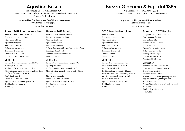# **Agostino Bosco**

Via Fontane, 24 – 12064 La Morra (CN) T: (+39) 338 5055443 info@barolobosco.com www.barolobosco.com Contact: Andrea Bosco

> **Imported by: Dudley-Jones Fine Wine – Haslemere** www.djfw.co david@djfw.co

> > Estate founded 1980

## **Rurem 2019 Langhe Nebbiolo**

Vineyard name: Pisotta (La Morra) First year of production: 2002 Vineyard size: 1.2 ha Age of vines: 15 years Vine density: 5000/ha Soil type: calcareous clay Training system: Guyot Clone(s): CN71, 172, 185 Rootstock: 420A, Paulsen, SO4

### **Vinification**

Fermentation vessel: stainless steel, 28/30°C Type of yeast: ambient Total time of skin contact: 12 to 13 days Main extraction method: pump-overs 2 to 6 times per day and 4 rack-and-returns MLF: stainless steel Period on the fine lees: 60 days Ageing: 12-13 months in large oak casks Total bottle age: 4 months % ABV: 13.5

# **Neirane 2017 Barolo**

Vineyard name: Neirane (Verduno) First year of production: 2006 Vineyard size: 0.8 ha Age of vines: 24 years Vine density: 4600/ha Soil type: limestone with a small proportion of sand Training system: Guyot Clone(s): massal selection & CN142 Rootstock: 420A

### **Vinification**

Fermentation vessel: stainless steel, 28/30°C Type of yeast: ambient Total time of skin contact: around 3 weeks Main extraction method: pump-overs 2 – 6 times per day MLF: in large oak casks Period on the fine lees: 60 days Ageing: 26 months in large oak casks Total bottle age: 8 months % ABV: 15

# **Brezza Giacomo & Figli dal 1885**

Via Lomondo 4 – 12060 Barolo (CN) T: (+39) 0173 560921 brezza@brezza.it www.brezza.it

> **Imported by: Hallgarten & Novum Wines** sales@hnwines.co.uk

> > Estate founded 1885

## **2020 Langhe Nebbiolo**

Vineyard name: First year of production: 2009 Vineyard size: 2ha Age of vines: 30 years Vine density: 3700/ha Soil type: calcareous clay Training system: Guyot Clone(s): Lampia Rootstock: K5BB

### **Vinification**

Fermentation vessel: stainless steel Fermentation temperature: 18-20°C Type of yeast: selected Total time of skin contact: 6 – 10 days Main extraction method: pumping-overs and cappello sommerso (submerged cap) MLF: in stainless steel Ageing: 7 months in stainless steel Total bottle age: 1 month % ABV: 14

# **Sarmassa 2017 Barolo**

Vineyard name: Sarmassa (Barolo) First year of production: 1979 Vineyard size: 1 ha Age of vines: 20 – 80 years Vine density: 3700/ha Organic/biodynamic: organic Soil type: calcareous clay Training system: Guyot Clone(s): Lampia, Michet Rootstock: K5BB, 420A

### **Vinification**

Fermentation vessel: stainless steel Fermentation temperature: max 26°C Type of yeast: selected Total time of skin contact: Main extraction method: pumping-overs and cappello sommerso (submerged cap) MLF: in concrete Ageing: 24 months in large oak casks, 8 months in concrete Total bottle age: 24 months % ABV: 14.5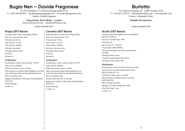# **Bugia Nen – Davide Fregonese**

Via XX Settembre 13, 12050 Serralunga d'Alba (CN) T: (+39) 340 9643537 davidefregonese@gmail.com www.davidefregonese.com Contact: Davide Fregonese

> **Imported by: Armit Wines – London** www.armitwines.co.uk web@armitwines.co.uk

Estate founded 2013

## **Prapò 2017 Barolo**

Vineyard name: Prapò (Serralunga d'Alba) First year of production: 2014 Vineyard size: 0.5 ha Age of vines: 14 years Vine density: 4500/ha Soil type: calcareous Training system: Guyot Clone(s): Rootstock:

### **Vinification**

Fermentation vessel: concrete tanks, 18-30°C Type of yeast: ambient

Total time of skin contact: 23 days

Main extraction method: daily pumping-overs and rack-and-return half-way through fermentation

MLF: in stainless steel

Ageing: 28 months in 25hl casks of Fontainebleau forest oak Total bottle age:

% ABV: 14

# **Cerretta 2017 Barolo**

Vineyard name: Cerretta (Serralunga d'Alba) First year of production: 2014 Vineyard size: 0.5 ha Age of vines: 16 years Vine density: 4500/ha Soil type: calcareous clay Training system: Guyot Clone(s): Rootstock:

### **Vinification**

Fermentation vessel: concrete tanks, 18-30°C Type of yeast: ambient Total time of skin contact: 24 days Main extraction method: daily pumping-overs, rack-and-return half-way through fermentation MLF: in stainless steel Period on the fine lees: 25 months Ageing: 25 months in 25hl casks of Fontainebleau forest oak Total bottle age: % ABV: 14

# **Burlotto**

Via Vittorio Emanuele 28 – 12060 Verduno (CN) T: (+39) 0172 470122 burlotto@burlotto.com www.burlotto.com Contact: Alessandro Fabio

### **Multiple UK importers**

Estate founded 1850

## **Acclivi 2017 Barolo**

Vineyard name: Monvigliero, Rocche dell'Olmo, Neirane (Verduno) First year of production: 1999 Vineyard size: Age of vines: 25 – 60 years Vine density: 4000-4500/ha Soil type: Sant'Agata marl with clay, limestone and sand Training system: Guyot Clone(s): massal selection & CN142 Rootstock: 420A, Kober 5BB

### **Vinification**

Fermentation vessel: tronconic French oak casks Type of yeast: normally ambient but in 2017 selected yeasts in 1 vat Total time of skin contact: 3 weeks Main extraction method: pump-overs and punching down MLF: in large oak casks Ageing: 33 months in large oak casks Total bottle age: 1 year % ABV: 14.5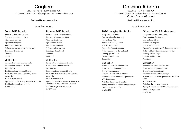# **Cagliero**

Via Monforte 34 – 12060 Barolo (CN) T: (+39) 0173 561172 info@cagliero.com www.cagliero.com

### **Seeking UK representation**

### Estate founded 1961

## **Terlo 2017 Barolo**

Vineyard name: Terlo (Barolo) First year of production: 2016 Vineyard size: 0.6 ha Age of vines: 15 years Vine density: 4000/ha Soil type: calcareous clay with blue marl Training system: Guyot Clone(s): Rootstock:

### **Vinification**

Fermentation vessel: concrete tanks Fermentation temperature: 26°C Type of yeast: Total time of skin contact: 15 days Main extraction method: pumping-overs twice a day MLF: in stainless steel Ageing: 36 months in large Slavonian oak casks Total bottle age: at least 6 months % ABV: 14.5

# **Ravera 2017 Barolo**

Vineyard name: Ravera (Novello) First year of production: 1996 Vineyard size: 2.5 ha Age of vines: 25 years Vine density: 4000/ha Soil type: calcareous clay Training system: Guyot Clone(s): Rootstock:

### **Vinification**

Fermentation vessel: concrete tanks Fermentation temperature: 28°C Type of yeast: Total time of skin contact: 20 days Main extraction method: pumping-overs twice a day MLF: in stainless steel Ageing: 12 months in tonneaux, followed by 24 months in large Slavonian oak casks. Total bottle age: at least 6 months % ABV· 14.5

# **Cascina Alberta**

Via Alba 5 – 12050 Treiso (CN) T: (+39) 335280 486 info@calberta.it www.calberta.it Contact: Francesco Guermani

### **Seeking UK representation**

### Estate founded 2011

## **2020 Langhe Nebbiolo**

Vineyard name: Treiso First year of production: 2012 Vineyard size: 3 ha Age of vines: 17, 15, 20 years Vine density: 3500/ha Organic/biodynamic: organic Soil type: calcareous clay and sand Training system: Guyot Clone(s): Michet, Rosè Rootstock:

### **Vinification**

Fermentation vessel: stainless steel Fermentation temperature: 26°C Type of yeast: ambient Total time of skin contact: 30 days Main extraction method: daily pump-overs MLF: in oak cask Period on the fine lees: 2 months Ageing: 6 months in 25hl Slavonian oak casks Total bottle age: 4 months % ABV: 13.5

## **Giacone 2018 Barbaresco**

Vineyard name: Giacone (Treiso) First year of production: 2011 Vineyard size: 1.5 ha Age of vines: 45 years Vine density: 3500/ha Organic/biodynamic: certified organic since 2019 Soil type: Marl with white, calcareous clay Training system: Guyot Clone(s): Michet, Rosè Rootstock:

### **Vinification**

Fermentation vessel: stainless steel Fermentation temperature: 26°C Type of yeast: ambient yeast Total time of skin contact: 30 days Main extraction method: pump-overs 4-6 times a day MLF: in oak cask Period on the fine lees: 2 months Ageing: 15 months in 25hl Slavonian oak casks Total bottle age: 1 year % ABV: 14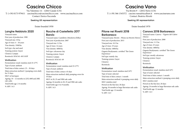# **Cascina Chicco**

Via Valentino 14 – 12043 Canale (CN) T: (+39) 0173 979411 cascinachicco@cascinachicco.com www.cascinachicco.com Contact: Enrico Faccenda

**Seeking UK representation**

Estate founded 1950

## **Langhe Nebbiolo 2020**

Vineyard name: First year of production: 1990 Vineyard size: 10 ha Age of vines: 4 – 30 years Vine density: 3500/ha Soil type: clay and sand Training system: Guyot Clone(s): Lampia Rootstock: SO4/161-49/1103P

### **Vinification**

Fermentation vessel: stainless steel 25-27°C Type of yeast: ambient Total time of skin contact: 25 – 30 days Main extraction method: 3 pumping-overs daily for 15 days MLF: in barriques Ageing: 10 – 12 months in 225l, 600l and 20hl oak casks Total bottle age: 2-6 months % ABV: 14.5

## **Rocche di Castelletto 2017 Barolo**

Vineyard name: Castelletto (Monforte d'Alba) First year of production: 2007 Vineyard size: 2.2 ha Age of vines: 14 years Vine density: 4000/ha Soil type: calcareous clay Training system: Guyot Clone(s): Lampia Rootstock: SO4/161-49

### **Vinification**

Fermentation vessel: stainless steel 25-27°C Type of yeast: ambient Total time of skin contact: 45 days Main extraction method: daily pumping-overs for 10 days MLF: in 20, 25 and 50hl oak casks Ageing: 24 months in 20, 25 and 50hl oak casks Total bottle age: 6 to 9 months % ABV: 14.5

# **Cascina Vano**

Via Rivetti 9 – 12052 Neive (CN)

T: (+39) 366 1545372 cascino.vano@tiscalinet.it www.cascinavano.com Contact: Beatrice Rivetti

## **Seeking UK representation**

## Estate founded 1970

## **Pilone nei Rivetti 2018 Barbaresco**

Vineyard name: Rivetti – Pilone nei Rivetti (Neive) First year of production: 2015 Vineyard size: 10.5 ha Age of vines: 19 years Vine density: 4000/ha Organic/biodynamic: certified 'The Green Experience' Soil type: mainly clay Training system: Guyot Clone(s): Rootstock:

## **Vinification**

Fermentation vessel: stainless steel 24°C Type of yeast: selected Total time of skin contact: 1 month Main extraction method: 4 pumping-overs daily MLF: stainless steel Period on the fine lees: 20 days Ageing: 36 months in large Slavonian oak casks Total bottle age: 12 months % ABV: 14.5

# **Canova 2018 Barbaresco**

Vineyard name: Canova – Vigneto del Ciabot (Neive) First year of production: 2008 Vineyard size: 11.5 ha Age of vines: 25 years Vine density: 4000/ha Organic/biodynamic: certified 'The Green Experience' Soil type: mostly calcareous Training system: Guyot Clone(s): Rootstock: **Vinification** 

Fermentation vessel: stainless steel 24°C Type of yeast: selected Total time of skin contact: 1 month Main extraction method: 4 pumping-overs daily MLF: stainless steel Period on the fine lees: 20 days Ageing: 24 months in large Slavonian oak casks Total bottle age: 12 months % ABV: 14.5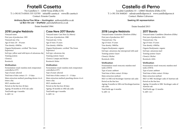# **Fratelli Casetta**

Via Castellero 5 – 12040 Vezza d'Alba (CN) T: (+39) 0173 65010 /335 323785 info@flli-casetta.it www.flli-casetta.it Contact: Ernesto Casetta

**Anthony Byrne Fine Wine – Huntingdon** anthony@abfw.co.uk **Le Bon Vin Ltd – Sheffield** patrick@lebonvin.co.uk

Estate founded 1964

# **2018 Langhe Nebbiolo**

Vineyard name: First year of production: 1995 Vineyard size: 4 ha Age of vines: 20 – 30 years Vine density: 4500/ha Organic/biodynamic: certified 'The Green Experience' Soil type: yellow sand with layers of calcareous clay Training system: Clone(s): Rootstock:

### **Vinification**

Fermentation vessel: stainless steel, temperature controlled at 25°C Type of yeast: selected Total time of skin contact: 13 – 15 days Main extraction method: punching-downs 4 to 6 times a day MLF: stainless steel Period on the fine lees: 60 days Ageing: 30 months in 10 hl oak casks Total bottle age: 4 months % ABV: 14

# **Case Nere 2017 Barolo**

Vineyard name: Case Nere (La Morra) First year of production: 1980 Vineyard size: 3.6 ha Age of vines: 35 years Vine density: 4500/ha Organic/biodynamic: certified 'The Green Experience' Soil type: calcareous clay Training system: Guyot Clone(s): Lampia and Michet Rootstock: Kober

### **Vinification**

Fermentation vessel: stainless steel, temperature controlled at 25°C Type of yeast: selected Total time of skin contact: 13 – 15 days Main extraction method: punching-downs 4 to 6 times a day MLF: stainless steel Period on the fine lees: 60 days Ageing: 30 months in 10hl oak casks Total bottle age: 6 months % ABV: 14

# **Castello di Perno**

Località Castelletto 33 – 120065 Monforte d'Alba (CN) T: (+39) 334 5648263 sales@castellodiperno.it www.castellodiperno.it Contact: Matteo Calvaruso

## **Seeking UK representation**

## Estate founded 2013

# **2018 Langhe Nebbiolo**

Vineyard name: Gramolere (Monforte d'Alba) First year of production: 2017 Vineyard size: 3 ha Age of vines: 35 years Vine density: 5000/ha Organic/biodynamic: organic Soil type: calcareous clay interspersed with sand Training system: Guyot Clone(s): Michet Rootstock: 420A

## **Vinification**

Fermentation vessel: tronconic stainless steel tanks of 80 hl Type of yeast: ambient Total time of skin contact: 20 days Main extraction method: MLF: in 10hl oval Stockinger Austrian oak casks Period on the fine lees: Ageing: 8 months in 10hl oval StockingerAustrian oak casks Total bottle age: 6 months % ABV: 14

# **2017 Barolo**

Vineyard name: Castelletto (Monforte d'Alba) First year of production: 2014 Vineyard size: 3 ha Age of vines: 35 years Vine density: 4500/ha Organic/biodynamic: organic Soil type: calcareous marl Training system: Guyot Clone(s): Michet Rootstock: 420A

## **Vinification**

Fermentation vessel: tronconic stainless steel tanks of 80 hl. Type of yeast: ambient Total time of skin contact: 30 days Main extraction method: MLF: in 50hl Stockinger casks of Austrian oak Period on the fine lees: Ageing: 24 months in 50hl Stockinger casks of Austrian oak Total bottle age: 12 months % ABV: 14.5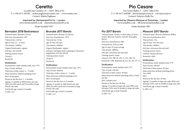# **Ceretto**

Località San Cassaino 34 – 12051 Alba (CN) T: (+39) 0173 282582 mattia.pagliasso@ceretto.com www.ceretto.com Contact: Mattia Pagliasso

> **Imported by: Mentzendorff & Co – London** www.mentzendorff.co.uk claire@mentzendorff.co.uk Estate founded 1937

## **Bernadot 2018 Barbaresco**

Vineyard name: Bernadot (Treiso) First year of production: 1997 Vineyard size: 4.84 ha Age of vines: 21 – 23 years Vine density: 4300/ha. Organic/biodynamic: organic Soil type: clay and silt Training system: Guyot Clone(s): Rootstock:

### **Vinification**

Fermentation vessel: stainless steel, max. 35°C Type of yeast: ambient Total time of skin contact: 4 – 5 weeks Main extraction method: pumping-overs MLF: in barriques Period on the fine lees: 5 – 6 months Ageing: 12 months in 300l French oak cask (20% new, 80% used) and 24 months in large French oak casks Total bottle age: at least 12 months % ABV: 14.5

# **Brunate 2017 Barolo**

Vineyard name: Brunate (La Morra) First year of production: 1978 Vineyard size: 5.6 ha Age of vines: 46 years Vine density: 4300/ha Organic/biodynamic: organic Soil type: Sant'Agata marl consisting of calcareous, magnesium-rich clay and silt Training system: Guyot Clone(s): Rootstock:

### **Vinification**

Fermentation vessel: stainless steel, max. 35°C Type of yeast: ambient Total time of skin contact: 4 – 5 weeks Main extraction method: pumping-overs MLF: in barriques Period on the fine lees: 6-12 months Ageing: 12 months in 300l French oak cask (20% new, 80% used) and 24 months in large French oak casks Total bottle age: at least 12 months % ABV: 14.5

# **Pio Cesare**

Via Cesare Balbo, 4 – 12051 Alba (CN) T: (+39) 0173 440386 direzione@piocesare.it www.piocesare.it Contact: Federica Boffa Pio

**Imported by: Maisons Marques et Domaines – London** www.mmdltd.co.uk effi.tsournava@mmdltd.co.uk

Estate founded 1881

## **Pio 2017 Barolo**

Vineyard name: Ornato, La Briccolina, La Serra, Lirano, Mosconi, Gustava, Garretti, Roncaglia, Ravera First year of production: 1881 Vineyard size: 24 ha in total Age of vines: 25 years average Vine density: 4800/ha Soil type: calcareous clay and marl Training system: Guyot Clone(s): 423, 308, 63, 185, 71, 415, 180, 141 Rootstock: 110R, Rupestris du Lot, 161-49, 157-11

### **Vinification**

Fermentation vessel: stainless steel, 27°C Type of yeast: selected Total time of skin contact: 30 days Main extraction method: punching-down 2 times per day MLF: stainless steel Period on the fine lees: 40 days Ageing: 12 months in large oak casks (90%) and barrique (10%), and 18 months in large oak casks Total bottle age: at least 9 months % ABV: 14.5

# **Mosconi 2017 Barolo**

Vineyard name: Mosconi (Monforte d'Alba) First year of production: 2015 Vineyard size: 3 ha Age of vines: 50 to 80 years Vine density: 4800/ha Soil type: calcareous clay and marl Training system: Guyot Clone(s): massal selection Rootstock: 420A

### **Vinification**

Fermentation vessel: stainless steel, 27°C Type of yeast: selected Total time of skin contact: 30 days Main extraction method: punching down twice daily MLF:

Period on the fine lees: 45 days Ageing: 12 months in large oak casks (90%) and barrique (10%), and 18 months in large oak casks Total bottle age: at least 9 months % ABV· 14.5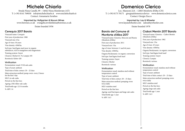# **Michele Chiarlo**

Strada Nizza Canelli, 99 – 14042 Nizza Monferrato (AT) T: (+39) 0141 769030 info@michelechiarlo.it www.michelechiarlo.it Contact: Annamaria Serafino

**Imported by: Hallgarten & Novum Wines** www.hnwines.co.uk evangelia.tevekelidou@hnwines.co.uk Estate founded 1956

## **Cerequio 2017 Barolo**

Vineyard name: Cerequio First year of production: 1988 Vineyard size: 6 ha Age of vines: 30 years Vine density: 4500/ha Soil type: Sant'Agata marl poor in organic substances, rich in manganese and magnesium Training system: Guyot

Clone(s): Michet 61-76, Lampia 185 Rootstock: Kober 420

### **Vinification**

Fermentation vessel: 55 hl oak casks Type of yeast: ambient Total time of skin contact: 20 – 22 days Main extraction method: pump-overs every 2 hours for the first 5 day MLF: in oak casks Period on the fine lees: Ageing: 25hl Allier oak casks Total bottle age: 12/14 months % ABV: 14

# **Domenico Clerico**

Loc. Manzoni 22A – 12065 Monforte d'Alba (CN) T: (+39) 0173 78171 giorgia@domenicoclerico www.domenicoclerico.com Contact: Giorgia Zucco

> **Imported by: Lay & Wheeler** www.layandwheeler.com sales@laywheeler.com

Estate founded 1978

# **Barolo del Comune di Monforte d'Alba 2017**

Vineyard name: Ginestra, Mosconi and Bussia (Monforte d'Alba) First year of production: 2011 Vineyard size: 5 ha Age of vines: between 11 and 46 years Vine density: 4500/ha Organic/biodynamic: in organic conversion Soil type: Sant'Agata fossil marl Training system: Guyot Clone(s): Michet Rootstock: various

### **Vinification**

Fermentation vessel: stainless steel without temperature control Type of yeast: ambient Total time of skin contact: 20 – 25 days Main extraction method: pumping-overs twice daily MLF: stainless steel Period on the fine lees: Ageing: used barriques and large oak casks Total bottle age: 1 year % ABV: 14.5

# **Ciabot Mentin 2017 Barolo**

Vineyard name: Ginestra – Ciabot Mentin (Monforte d'Alba) First year of production: 1982 Vineyard size: 2 ha Age of vines: 43 years Vine density: 4500/ha Organic/biodynamic: in organic conversion Soil type: Sant'Agata fossil marl Training system: Guyot Clone(s): Lampia Rootstock: various

### **Vinification**

Fermentation vessel: stainless steel without temperature control Type of yeast: ambient Total time of skin contact: 20 – 25 days Main extraction method: pumping-overs twice daily MLF: stainless steel Period on the fine lees: Ageing: large oak casks Total bottle age: 1 year % ABV: 14.5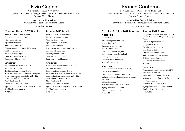# **Elvio Cogno**

Via Ravera 2 – 12060 Novello (CN) T: (+39) 0173 744006 elviocogno@elviocogno.com www.elviocogno.com Contact: Valter Fissore

> **Imported by: Flint Wines** www.flintwines.com info@flintwines.com

Estate founded 1991

# **Cascina Nuova 2017 Barolo**

Vineyard name: Ravera (Novello) First year of production: 2001 Vineyard size: 2.5 ha Age of vines: 18 years Vine density: 4000/ha Organic/biodynamic: uncertified organic Soil type: calcareous clay Training system: Guyot Clone(s): Lampia and Michet Rootstock: SO4 and du Lot

### **Vinification**

Fermentation vessel: stainless steel 28°C Type of yeast: ambient Total time of skin contact: 40 days Main extraction method: automated pumpingovers during fermentation followed by skin maceration with submerged cap MLF: stainless steel Period on the fine lees: 60 days Ageing: 24 months in large Slavonian oak casks Total bottle age: 6 months % ABV: 14.5

# **Ravera 2017 Barolo**

Vineyard name: Ravera (Novello) First year of production: 1991 Vineyard size: 4.88 ha Age of vines: 50 to 70 years Vine density: 4000/ha Organic/biodynamic: uncertified organic Soil type: calcareous clay Training system: Guyot Clone(s): Lampia and Michet Rootstock: 420 and Rupestris

### **Vinification**

Fermentation vessel: stainless steel 28°C Type of yeast: ambient Total time of skin contact: 40 days Main extraction method: automated pumpingovers during fermentation followed by skin maceration with submerged cap MLF: stainless steel Period on the fine lees: 90 days Ageing: 24 months in large Slavonian oak casks Total bottle age: 6 months % ABV: 14.5

# **Franco Conterno**

Loc. Bussia 62 – 12065 Monforte d'Alba (CN) T: (+39) 380 5404184 info@francoconterno.it www.francoconterno.it Contact: Daniele Conterno

**Imported by: Bancroft Wines** www.bancroftwines.com havnsusteren@bancroftwines.com

Estate founded 1994

## **Cascina Sciulun 2019 Langhe Nebbiolo**

Vineyard name:

First year of production: 1994 Vineyard size: 3.6 ha Age of vines: 16 – 25 years Vine density: 5000/ha Organic/biodynamic: organic Soil type: calcareous clay and tuff

Training system: Guyot Clone(s): Michet and Lampia Rootstock: SO4 1118

Type of yeast: ambient

Fermentation vessel: stainless steel 29°C

Total time of skin contact: 4 to 5 days

Period on the fine lees: 25 to 30 days Ageing: 9 months in tonneaux Total bottle age: 6 months

Main extraction method: pumping-overs every

**Vinification** 

4 – 5 hours MLF: stainless steel

% ABV: 14

# **Pietrin 2017 Barolo**

Vineyard name: Panerole (Novello), Bussia (Monforte d'Alba) and Pugnane (Castiglione Falletto) First year of production: 2001 Vineyard size: 4.3 ha Age of vines: 20 – 45 years Vine density: 4500/ha Organic/biodynamic: organic Soil type: calcareous clay and tuff Training system: Guyot Clone(s): Michet and Lampia Rootstock:

## **Vinification**

Fermentation vessel: stainless steel 32°C Type of yeast: ambient Total time of skin contact: 40-50 days Main extraction method: vertical rotofermenter MLF: stainless steel Period on the fine lees: 30 days Ageing: 24 months in 25 and 40 hl tanks Total bottle age: 12 months % ABV: 14.5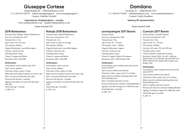# **Giuseppe Cortese**

Strada Rabajà, 80 – 12050 Barbaresco (CN) T: (+39) 0173 635131 info@cortesegiuseppe.it www.cortesegiuseppe.it Contact: Gabriele Occhetti

> **Imported by: Vindependents – London** www.vindependents.co.uk mark@vindependents.co.uk Estate founded 1971

# **2018 Barbaresco**

Vineyard name: Rabajà, Trifolera (Barbaresco) First year of production: 2017 Vineyard size: 1.5 ha Age of vines: 25 to 30 years Vine density: 4500/ha Organic/biodynamic: uncertified organic Soil type: calcareous clay Training system: Guyot Clone(s): Lampia and Michet Rootstock: 420a, Cober5BB

### **Vinification**

Fermentation vessel: stainless steel, 29°C Type of yeast: ambient Total time of skin contact: 25 days Main extraction method: pump-overs twice a day MLF: concrete and Slavonian oak casks Period on the fine lees: 3 months Ageing: 18 months in 16 and 26 hl Slavonian oak casks Total bottle age: 7 months % ABV: 14.5

# **Rabajà 2018 Barbaresco**

Vineyard name: Rabajà (Barbaresco) First year of production: 1971 Vineyard size: 4 ha Age of vines: 45 years on average Vine density: 4500/ha Organic/biodynamic: uncertified organic Soil type: calcareous clay Training system: Guyot Clone(s): Lampia and Michet Rootstock: 420a, Cober5BB

### **Vinification**

Fermentation vessel: concrete Type of yeast: ambient Total time of skin contact: 25 days Main extraction method: pump-overs twice a day MLF: concrete and Slavonian oak casks Period on the fine lees: 3 months Ageing: 22 months in 16 and 26 hl Slavonian oak casks Total bottle age: 16 months % ABV: 14.5

# **Damilano**

Via Roma 31 – 12060 Barolo (CN) T: (+39) 0173 56105 info@damilanoG.com www.cantinedamilano.it Contact: Guido Damilano

## **Seeking UK representation**

## Estate founded 1890

# **Lecinquevigne 2017 Barolo**

Vineyard name: First year of production: 2002 Vineyard size: 10 ha Age of vines: 30 – 50 years Vine density: 4500 – 5200/ha Organic/biodynamic: organic Soil type: calcareous clay Training system: Guyot Clone(s): Lampia, Michet & Picoutener Rootstock: 420A, 110R & Kober 5BB

### **Vinification**

Fermentation vessel: stainless steel and concrete tanks at 28/29°C Type of yeast: ambient and selected Total time of skin contact: min 15 to 20 days Main extraction method: punching-down and brief pumping-overs MLF: in stainless steel and concrete Period on the fine lees: until pre-bottling filtration Ageing: 24 months in large 26 to 100hl oak casks Total bottle age: 12 months % ABV: 14.5

# **Cannubi 2017 Barolo**

Vineyard name: Cannubi (Barolo) First year of production: 1935 Vineyard size: 10 ha Age of vines: 30 – 50 years Vine density: 4500/ha Soil type: 45% sand, 35% silt, 20% clay Training system: Guyot Clone(s): Michet, Lampia & Picoutener Rootstock: Mostly 420A, 161.49C, 110R and Rupestris du Lot on hill tops and mid-hill; 5C & Kober 5BB for lower slopes and/or deeper and damper soils

## **Vinification**

Fermentation vessel: stainless steel and concrete tanks 28/29°C Type of yeast: ambient and selected Total time of skin contact: min 15 to 20 days Main extraction method: punching-down and brief pumping-overs MLF: in stainless steel and concrete Period on the fine lees: until pre-bottling filtration Ageing: 24 months in large 26 to 100hl oak casks Total bottle age: 12 months % ABV: 15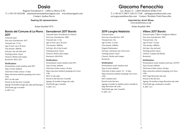# **Dosio**

Regione Serradenari 6 – 12064 La Morra (CN) T: (+39) 335 5652598 amministrazione@dosiovigneti.com www.dosiovigneti.com Contact: Andrea Faccio

### **Seeking UK representation**

### Estate founded 1974

### **Barolo del Comune di La Morra 2017 Serradenari 2017 Barolo**  Vineyard name: Serradenari (La Morra)

Vineyard name: First year of production: 2017 Vineyard size: 3.5 ha Age of vines: up to 20 years Vine density: 5000/ha Soil type: clay silt with sand Training system: Guyot Clone(s): Michet and Limpia Rootstock: 420A, SO4

### **Vinification**

Fermentation vessel: stainless steel 28°C Type of yeast: ambient Total time of skin contact: 15 days Main extraction method: pumping-overs twice a day MLF: in oak casks Period on the fine lees: 6 months Ageing: 30 months in large oak casks and barriques Total bottle age: 6 months % ABV: 14.5

# First year of production: 2000 Vineyard size: 1.5 ha

Age of vines: up to 20 years Vine density: 5000/ha Soil type: silt of clay & sand Training system: Guyot Clone(s): Michet and Lampia Rootstock: 420A/SO4

### **Vinification**

Fermentation vessel: stainless steel 28°C Type of yeast: ambient Total time of skin contact: 30 days Main extraction method: pumping over twice a day MLF: in oak casks Period on the fine lees: 6 months Ageing: 30 months in large oak casks Total bottle age: 6 months % ABV: 14.5

# **Giacomo Fenocchio**

Loc. Bussia 72 – 12065 Monforte d'Alba (CN) T: (+39) 0173 78675 /328 373 7548 info@giacomofenocchio.com www.giacomofenocchio.com Contact: Nicoletta Vietti Fenocchio

### **Imported by: Armit Wines** www.armitwines.co.uk

Estate founded 1864

## **2019 Langhe Nebbiolo**

Vineyard name: First year of production: 1947 Vineyard size: 2 ha Age of vines: 15 years Vine density: 4200/ha Organic/biodynamic: Soil type: calcareous clay rich in iron Training system: Guyot Clone(s): Michet and Lampia Rootstock:

### **Vinification**

Fermentation vessel: stainless steel Type of yeast: ambient Total time of skin contact: 10 – 12 days Main extraction method: pumping-overs twice a day MLF: stainless steel Period on the fine lees: Ageing: 6 months in stainless steel, 6 months in large Slavonian oak casks Total bottle age: min 3 months % ABV: 14.5

## **Villero 2017 Barolo**

Vineyard name: Villero (Castigione Falletto) First year of production: 1995 Vineyard size: 1 ha Age of vines: 75 years Vine density: 4000/ha Soil type: clay and marl Training system: Guyot Clone(s): Lampia and Michet Rootstock:

### **Vinification**

Fermentation vessel: stainless steel max. 28/29°C Type of yeast: ambient Total time of skin contact: 40 days Main extraction method: pumping-over twice a day MLF: large Slavonian oak cask Period on the fine lees: Ageing: 30 months in large Slavonian oak casks Total bottle age: minimum 6 months % ABV: 14.5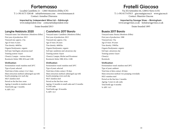# **Fortemasso**

Località Castelletto 21 – 12065 Monforte d'Alba (CN) T: (+39) 0173 328148 info@fortemasso.com www.fortemasso.it Contact: Annalisa Chiavazza

**Imported by: Independent Wine Ltd – Edinburgh** www.independent.wine contact@independent.wine Estate founded 2013

## **Langhe Nebbiolo 2020**

Vineyard name: San Sebastiano (Monforte d'Alba) First year of production: 2013 Vineyard size: approx. 2 ha Age of vines: 6 years Vine density: 4600/ha Organic/biodynamic: organic Soil type: Sant'Agata calcareous marl Training system: Guyot Clone(s): Lampia – various clones Rootstock: Kober 5BB, SO4 and 110R

### **Vinification**

Fermentation vessel: stainless steel 26°C Type of yeast: selected Total time of skin contact: 4 to 5 days Main extraction method: submerged cap with hourly pumping-over each day MLF: stainless steel Period on the fine lees: none Ageing: 6 months in stainless steel Total bottle age: 3 months % ABV: 14.5

# **Castelletto 2017 Barolo**

Vineyard name: Castelletto (Monforte d'Alba) First year of production: 2013 Vineyard size: approx. 4 ha Age of vines: 20 years Vine density: 4600/ha Organic/biodynamic: organic Soil type: sandstone and calcareous clay Training system: Guyot Clone(s): Lampia, Michet and Picoutener Rootstock: Kober 5BB, SO4 e 110R

### **Vinification**

Fermentation vessel: stainless steel 28°C Type of yeast: selected Total time of skin contact: 30 days Main extraction method: submerged cap with hourly pumping-overs each day MLF: stainless steel Period on the fine lees: none Ageing: 12 months in small casks and 12 months in 25hl casks Total bottle age: 18 months % ABV: 14.5

# **Fratelli Giacosa**

Via XX Settembre 64, 120052 Neive (CN) T: (+39) 0173 67013 giacosa@giacosa.it www.giacosa.it Contact: Maurizio Giacosa

**Imported by Savage Vines – Birmingham** www.savagevines.co.uk kyle@savagevines.co.uk Estate founded 1895

## **Bussia 2017 Barolo**

Vineyard name: Bussia (Monforte d'Alba) First year of production: 1988 Vineyard size: 3 ha Age of vines: 30 years Vine density: 3500/ha Organic/biodynamic: organic Soil type: calcareous clay Training system: Guyot Clone(s): Rootstock:

### **Vinification**

Fermentation vessel: stainless steel 28°C Type of yeast: ambient Total time of skin contact: 40 days Main extraction method: two pumping-oversdaily MLF: stainless steel Period on the fine lees: 2 months Ageing: 3 years in oak casks Total bottle age: 6 months % ABV: 14.5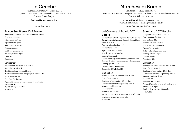# **Le Cecche**

Via Moglia Gerlotto 20 – Diano d'Alba T: (+39) 331 635 7664 info@lececche.it www.lececche.it Contact: Jan de Bruyne

### **Seeking UK representation**

Estate founded 2001

## **Bricco San Pietro 2017 Barolo**

Vineyard name: Bricco San Pietro (Monforte d'Alba) First year of production: Vineyard size: 0.8 ha Age of vines: 30 years Vine density: 4500/ha Organic/biodynamic: Soil type: calcareous clay Training system: Guyot Clone(s): Rootstock: **Vinification** 

Fermentation vessel: stainless steel 26°C Type of yeast: selected Total time of skin contact: 21 days Main extraction method: pumping-over 3 times a day MLF: stainless steel Period on the fine lees: Ageing: 12 months in barriques and 12 months in large oak casks Total bottle age: 6 months % ABV: 14.5

# **Marchesi di Barolo**

Via Roma 1 – 12060 Barolo (CN) T: (+39) 0173 564400 reception@marchesibarolo.com www.marchesibarolo.com Contact: Valentina Abbona

> **Imported by: Vinissimo – Westerham** www.vinissimo.co.uk – chantal@vinissimo.co.uk

> > Estate founded first half of 1800's

## **del Comune di Barolo 2017 Barolo**

# **Sarmassa 2017 Barolo**

Vineyard name: Preda, Vignane, Bussia, Castellero, Ravera, Boschetti, Sarmassa, Cannubi, Coste di Rose, Fossati (Barolo) First year of production: 1991 Vineyard size: 15 ha Age of vines: over 30 years Vine density: 4500-5000/ha Organic/biodynamic: Soil type: Sant'Agata marl with silt, sand and clay; Arenaria di Diano – sandstone and calcareous clay Training system: Guyot Clone(s): Michet and Lampia Rootstock: 420A, Kober 5BB

### **Vinification**

Fermentation vessel: stainless steel 28-30°C Type of yeast: selected Total time of skin contact: 15 – 20 days Main extraction method: pumping-over and frequent punching-down MLF: concrete Period on the fine lees: Ageing: 22 months in barriques and large oak casks Total bottle age: at least 16 months % ABV: 14

Vineyard name: Sarmassa (Barolo) First year of production: 1976 Vineyard size: 2 ha Age of vines: over 30 years Vine density: 4500-5000/ha Organic/biodynamic: Soil type: Sant'Agata fossil marl Training system: Guyot Clone(s): Michet Rootstock: 420A

### **Vinification**

Fermentation vessel: stainless steel 28-30°C Type of yeast: selected Total time of skin contact: 15-20 days Main extraction method: pumping-over and frequent punching-down MLF: cement Period on the fine lees: Ageing: 10 months in large oak casks and 10 months in barriques Total bottle age: at least 18 months % ABV: 14.5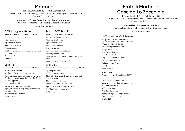# **Marrone**

Frazione Annunziata, 13 – 12064 La Morra (CN) T: (+39) 0173 509288 serena@agricolamarrone.com www.agricolamarrone.com Contact: Serena Marrone

> **Imported by: Tamar Selections Ltd T/A Vindependents** www.vindependents.co.uk mark@vindependents.co.uk

Estate founded 1978

## **2019 Langhe Nebbiolo**

Vineyard name: Madonna di Como (Alba) First year of production: 1978 Vineyard size: Age of vines: 25 years Vine density: 4200/ha Organic/biodynamic: Soil type: calcareous clay with quartz, sand and grey sandstone Training system: Guyot Clone(s): Rootstock:

### **Vinification**

Fermentation vessel: stainless steel, 24/28°C Type of yeast: selected Total time of skin contact: 12 – 14 days Main extraction method: 2 pump-overs per day for the first 18 to 20 days, then 1 per day for the remaining period MLF: stainless steel Period on the fine lees: 6 months Ageing: 8 months in large oak (60%) and used barriques (40%) Total bottle age: 2 months

% ABV: 14%

# **Bussia 2017 Barolo**

Vineyard name: Bussia (Monforte d'Alba) First year of production: 2012 Vineyard size: 0.55 ha Age of vines: 60 years Vine density: 4000/ha Organic/biodynamic: Soil type: Mix of marl and sand Training system: Guyot Clone(s): Mainly Michet with some Lampia and Rosè Rootstock: Kober, SO4, 110Richter

### **Vinification**

Fermentation vessel: in Slavonian oak vat, 26/30°C Type of yeast: ambient Total time of skin contact: 25 days Main extraction method: rack-and-returns and pumping-overs MLF: 25hl large oak casks Period on the fine lees: 12 months Ageing: 30 months in large oak casks Total bottle age: 10 months % ABV: 14.5

# **Fratelli Martini – Cascina Lo Zoccolaio**

Località Boschetti 4 – 12060 Barolo (CN) T: (+39) 0141 833 7287 info@cascinalozoccolaio.it www.cascinalozoccolaio.it Contact: Paolo Trave

> **Imported by: Matthew Clark – Bristol** www.matthewclark.co.uk enquiries@matthewclark.co.uk

> > Estate founded 1856

# **Lo Zoccolaio 2017 Barolo**

Vineyard name: Zoccolaio (Barolo), San Giovanni (Monforte d'Alba), Neirane (Verduno), Bricco di Barolo First year of production: 2000 Vineyard size: 12 ha Age of vines: 40 years Vine density: 4000/ha Organic/biodynamic: sustainable Soil type: calcareous marl Training system: Guyot Clone(s): Rootstock: SO4

### **Vinification**

Fermentation vessel: stainless steel 28°C Type of yeast: selected Total time of skin contact: 25 days Main extraction method: submerged cap (cappello sommerso) MLF: stainless steel Period on the fine lees: Ageing: barriques and large oak casks Total bottle age: 6 months % ABV· 14.5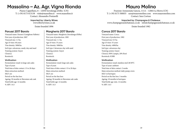# **Massolino – Az. Agr. Vigna Rionda**

Piazza Cappellano, 8 – 12050 Serralunga d'Alba (CN) T: (+39) 0173 613138 visite@massolino.it www.massolino.it Contact: Alessandro Pontarelli

> **Imported by: Liberty Wines** www.libertywines.co.uk Estate founded 1896

# **Parussi 2017 Barolo**

Vineyard name: Parussi (Castiglione Falletto) First year of production: 2007 Vineyard size: 1.3 ha Age of vines: 40 years Vine density: 5000/ha Soil type: calcareous, sandy clay and marl Training system: Guyot Clone(s): Rootstock:

### **Vinification**

Fermentation vessel: in large oak casks Type of yeast: Total time of skin contact: 15 to 20 days Main extraction method: MLF: yes Period on the fine lees: Ageing: 30 months in Slavonian oak cask Total bottle age: 12 months % ABV: 14.5

# **Margheria 2017 Barolo**

Vineyard name: Margheria (Serralunga d'Alba) First year of production: 1985 Vineyard size: 1.1 ha Age of vines: 35 years Vine density: 5000/ha Soil type: Calcareous clay with sand Training system: Guyot Clone(s): Rootstock:

### **Vinification**

Fermentation vessel: large oak casks Type of yeast: Total time of skin contact: 15 to 20 days Main extraction method: MLF: yes Period on the fine lees: Ageing: 30 months in Slavonian oak casks Total bottle age: 12 months % ABV: 14.5

# **Mauro Molino**

Frazione Annunziata Gancia, 111A – 12064 La Morra (CN) T: (+39) 0173 500035 sara@mauromolino.com www.mauromolino.com Contact: Sara Cortese

**Imported by: Champagne & Chateaux** www.champagneandchateaux.co.uk info@champagneandchateaux.co.uk

Estate founded 1982

# **Conca 2017 Barolo**

Vineyard name: Conca First year of production: 1982 Vineyard size: 0.5 ha Age of vines: 55 years Vine density: 4000/ha Soil type: calcareous clay Training system: Guyot Clone(s): 80% Lampia, 20% Rosè Rootstock: K5BB

### **Vinification**

Fermentation vessel: stainless steel 28/30°C Type of yeast: ambient Total time of skin contact: 2 weeks Main extraction method: daily pump-overs MLF: in barriques Period on the fine lees: 3 months Ageing: 18 months in barriques Total bottle age: min. 12 months % ABV: 14.5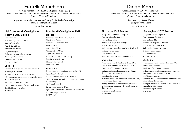# **Fratelli Monchiero**

Via Alba Monforte, 49 – 12060 Castiglione Falletto (CN) T: (+39) 331 2642758 monchierovini@monchierovini.it www.monchierovini.it Contact: Vittorio Monchiero

**Imported by: Artisan Wines McCarthy & Mitchell – Tonbridge** info@mccarthymitchell.com

Estate founded 1972

# **del Comune di Castiglione Faletto 2017 Barolo**

Vineyard name: First year of production: 2016 Vineyard size: 1 ha Age of vines: 25 years Vine density: 4000/ha Organic/biodynamic: Soil type: marl and calcareous clay Training system: Guyot Clone(s): Nebbiolo R1 Rootstock: K5BB

## **Vinification**

Fermentation vessel: stainless steel tanks, 25°C Type of yeast: selected Total time of skin contact: 20 – 25 days Main extraction method: pump-over twice a day MLF: stainless steel Period on the fine lees: 20 days Ageing: in Austrian and Slavonian oak casks Total bottle age: 6 months % ABV: 14.5

# **Rocche di Castiglione 2017**

## **Barolo**

Vineyard name: Rocche di Castiglione (Castiglione Falletto) First year of production: 1976 Vineyard size: 1 ha Age of vines: 30 years Vine density: 3500/ha Organic/biodynamic: Soil type: marl and calcareous clay Training system: Guyot Clone(s): Nebbiolo R1 Rootstock: K5BB

### **Vinification**

Fermentation vessel: stainless steel tanks, 25°C Type of yeast: selected Total time of skin contact: 25 – 30 days Main extraction method: 2 minutes of pump-over 3 times a day MLF: stainless steel Period on the fine lees: 20 days Ageing: in Austrian and Slavonian oak containers Total bottle age: 8 months % ABV: 14.5

# **Diego Morra**

Cascina Mosca 37- 12060 Verduno (CN) T: (+39) 0172 470170 info@morrawines.com www.morrawines.com Contact: Francesca Garbaccio

## **Imported by: Asset Wines**

giles@assetwines.com Estate founded 2006

# **Zinzasco 2017 Barolo**

Vineyard name: Blend of vineyards First year of production: 2011 Vineyard size: 12 ha Age of vines: 35 years on average Vine density: 4000/ha Soil type: calcareous clay/ Sant'Agata fossil marl Training system: Guyot Clone(s): Lampia Rootstock: SO4 (Selection Oppenheim 4),

### **Vinification**

Fermentation vessel: stainless steel, max 30°C Type of yeast: ambient and selected (BRL97) Total time of skin contact: 25 days Main extraction method: pump-overs 3 times daily, one rack-and-return MLF: in stainless steel Period on the fine lees one month on the gros lees, 12 months on the fine lees Ageing: 6 months in 500l tonneaux, 18 months in 25hl French, untoasted oak casks (second and third passage) Total bottle age: 6 months % ABV: 14.5

# **Monvigliero 2017 Barolo**

Vineyard name: Monvigliero First year of production: 2011 Vineyard size: 4 ha Age of vines: 50 years on average Vine density: 4500 vines/ha Soil type: Sant'Agata fossil marl Training system: Guyot Clone(s): Lampia Rootstock: 420A

### **Vinification**

Fermentation vessel: stainless steel, max 30°C Type of yeast: ambient Total time of skin contact: 35 days Main extraction method: daily pump-overs, three punch-downs & one rack-and-return MLF: in stainless steel Period on the fine lees one month on the gros lees, 12 months on the fine lees Ageing: 30 months in 25hl non-toasted French oak (second and third passage) Total bottle age: 6 months % ABV: 14.5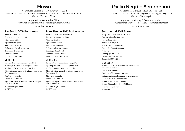# **Musso**

Via Domizio Cavazza, 5 – 12050 Barbaresco (CN) T: (+39) 0173 635129 mussobarbaresco@gmail.com www.mussobarbaresco.com Contact: Emanuele Musso

> **Imported by: Wanderlust Wine** www.wanderlustwine.co.uk richard@wanderlust.co.uk Estate founded 1929

## **Rio Sordo 2018 Barbaresco**

Vineyard name: Rio Sordo First year of production: 1969 Vineyard size: 2 ha Age of vines: 50 years Vine density: 4500/ha Soil type: sandy, calcareous clay Training system: Guyot Clone(s): Lampia 142 Rootstock: Kober 5BB

### **Vinification**

Fermentation vessel: stainless steel, 25°C Type of yeast: selection of indigenous yeasts Total time of skin contact: 25 to 60 days Main extraction method: 15 minute pump-overs four times a day MLF: large oak casks Period on the fine lees: Ageing: First year in 50hl oak casks, second year in 25hl oak casks Total bottle age: 6 months

% ABV: 14.5

## **Pora Riserva 2016 Barbaresco**

Vineyard name: Pora (Barbaresco) First year of production: 2000 Vineyard size: 1 ha Age of vines: 70 years Vine density: 4000/ha Soil type: calcareous clay and marl Training system: Guyot Clone(s): Lampia, Michet Rootstock: Kober 5BB, 420A

### **Vinification**

Fermentation vessel: stainless steel, 25°C Type of yeast: selection of indigenous yeasts Total time of skin contact: 50 to 55 days Main extraction method: 15 minute pump-overs four times a day MLF: large oak casks Period on the fine lees: Ageing: First year in 25 hl oak casks, second year in 500l tonneaux Total bottle age: 12 months % ABV· 14.5

# **Giulia Negri – Serradenari**

Via Bricco del Dente, 19- 12064 La Morra (CN) T: (+39) 0173 50119 info@giulianegri.com www.giulianegri.com Contact: Giulia Negri

**Imported by: Corney & Barrow – London** www.corneyandbarrow.com sales@corneyandbarrow.com

Estate founded 1980

# **Serradenari 2017 Barolo**

Vineyard name: Serradenari (La Morra) First year of production: 2004 Vineyard size: 1.8 ha Age of vines: 20 years Vine density: 3500-4000/ha. Organic/biodynamic: organic Soil type: Training system: Guyot Clone(s): Lampia 142/230/36 Rootstock: 157/11, SO4

### **Vinification**

Fermentation vessel: tronconic oak casks without temperature control Type of yeast: ambient Total time of skin contact: 40 days Main extraction method: pump-over once a day MLF: 15 and 25 hl large oak casks Period on the fine lees: 7 months Ageing: 30 months in 15 and 2 5hl casks Total bottle age: 8 months % ABV: 14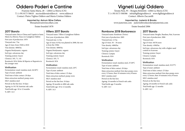# **Oddero Poderi e Cantine**

Frazione Santa Maria, 28 – 12064 La Morra (CN) T: (+39) 0173 50618 mcrisoddero@oddero.it www.oddero.it Contact: Pietro Viglino Oddero and Maria Cristina Oddero

> **Imported by: Astrum Wine Cellars** bbesa@astrumwinecellars.com

> > Estate founded 1878

# **2017 Barolo**

Vineyard name: Bricco Chiesa and Capalot in Santa Maria (La Morra), Fiasco in Castiglione Falletto First year of production: 1878 Vineyard size: 7 ha Age of vines: from 1948 to 2010 Vine density: 4000/ha Organic/biodynamic: organic Soil type: calcareous clay Training system: Guyot Clone(s): 185, 71, 141 Rootstock: SO4, Kober & Riparia or Rupestris in the younger ones

### **Vinification**

Fermentation vessel: stainless steel, 26/28°C Type of yeast: ambient Total time of skin contact: 20 days Main extraction method: pump-overs MLF: stainless steel Period on the fine lees: 10 days Ageing: in 10.5 hl Austrian oak casks Total bottle age: 10 to 12 months % ABV: 14.5

# **Villero 2017 Barolo**

Vineyard name: Villero (Castiglione Falletto First year of production: 2004 Vineyard size: 2.2 ha Age of vines: 0.9 ha was planted in 2008, the rest is from the 1940s Vine density: 4000/ha Organic/biodynamic: organic Soil type: calcareous clay Training system: Guyot Clone(s): 185, 71 Rootstock: SO4

### **Vinification**

Fermentation vessel: stainless steel, 26°C Type of yeast: ambient Total time of skin contact: 23 days Main extraction method: pump-overs MLF: stainless steel Period on the fine lees: 10 days Ageing: 30 months in 40hl oak casks Total bottle age: 10 to 12 months % ABV: 14.5

# **Vigneti Luigi Oddero**

Tenuta Parà, 95 – Borgata Bettelotti -12064 La Morra (CN) T: (+39) 0173 500386 info@figliluigioddero.it www.figliluigioddero.it Contact: Alberto Zaccarelli

**Imported by: Justerini & Brooks** www.justerinis.com justerinibrooksorders@justerinis.com

Estate founded 2006

## **Rombone 2018 Barbaresco**

Vineyard name: Rombone (Treiso) First year of production: 2005 Vineyard size: 2.5 ha Age of vines: 30 – 50 years Vine density: 4000/ha Soil type: calcareous clay Training system: Guyot Clone(s): Lampia Rootstock: SO4

### **Vinification**

Fermentation vessel: stainless steel, 27/28°C Type of yeast: ambient Total time of skin contact: 20 days Main extraction method: first days pump-overs every 12 hours, then 10 minutes every 8 hours MLF: stainless steel Period on the fine lees: Ageing: 16 months in French oak casks Total bottle age: 9 months % ABV: 14.5

# **2017 Barolo**

Vineyard name: Broglio, Baudana, Rué, Scarrone First year of production: 2006 Vineyard size: Age of vines: 40/50 years Vine density: 4500/ha Soil type: calcareous clay with a higher sand content in Scarrone Training system: Guyot Clone(s): Lampia Rootstock: SO4

## **Vinification**

Fermentation vessel: stainless steel, 25/27°C Type of yeast: ambient Total time of skin contact: 25 days Main extraction method: first days pump-overs every 12 hours, then 10 minutes every 8 hours MLF: stainless steel Period on the fine lees: Ageing: 26 months in French oak casks Total bottle age: 12 months % ABV· 14.5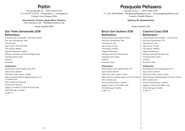# **Paitin**

Via Serraboella, 20 – 12052 Neive (CN) T: (+39) 0173 67343 info@paitin.it www.paitin.it Contact: Luca Pasquero Elia

**Imported by: Vinexus, Asset Wine, Ultravino** www.vinexus.co.uk Nbielak@vinexus.co.uk

Estate founded 1893

# **Sori' Paitin Serraboella 2018 Barbaresco**

Vineyard name: Serraboella – Sorì Paitin (Neive) First year of production: 1893 Vineyard size: Age of vines: 1953/1974/1985 Vine density: 4000/ha Organic/biodynamic: organic Soil type: calcareous clay and Sant'Agata marls Training system: Guyot Clone(s): Rootstock:

## **Vinification**

Fermentation vessel: stainless steel, 26°C Type of yeast: ambient Total time of skin contact: 40 days Main extraction method: regular pump-overs of 15 minutes each MLF: stainless steel and oak Period on the fine lees: Ageing: 23 months in 25 hl & 50 hl oak casks Total bottle age: 6 months % ABV: 14

# **Pasquale Pelissero**

Cascina Crosa, 2 – 12052 Neive (CN) T: (+39) 328 2028446 info@pasqualepelissero.com www.pasqualepelissero.com Contact: Ornella Pelissero

## **Seeking UK representation**

Estate founded 1921

## **Bricco San Giuliano 2018 Barbaresco**

Vineyard name: San Giuliano (Neive) First year of production: 2005 Vineyard size: 4 ha Age of vines: 25 years Vine density: 5200/ha Organic/biodynamic: Soil type: marl and calcareous clay Training system: Guyot Clone(s): Rootstock: 420A

### **Vinification**

Fermentation vessel: stainless steel, 27°C Type of yeast: selected Total time of skin contact: 15 days Main extraction method: pump-over every 4 hours MLF: stainless steel Period on the fine lees: 3 months Ageing: 2 years in 25 hl Allier casks Total bottle age: 6 months % ABV: 14

# **Cascina Crosa 2018 Barbaresco**

Vineyard name: San Giuliano – Crosa (Neive) First year of production: 1971 Vineyard size: 1 ha Age of vines: 55 years Vine density: 5200/ha Organic/biodynamic: Soil type: marl and calcareous clay Training system: Guyot Clone(s): Rootstock: 420A

## **Vinification**

Fermentation vessel: stainless steel, 27°C Type of yeast: selected Total time of skin contact: 15 days Main extraction method: pump-overs every 4 hours MLF: stainless steel Period on the fine lees: 3 months Ageing: 2 years in 25 hl Allier casks Total bottle age: 6 months % ABV: 14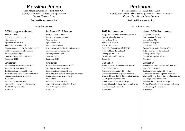# **Massimo Penna**

Fraz. Madonna Como 48 - 12051 Alba (CN) T: (+39)335 5929908 info@massimopenna.com Contact: Massimo Penna

**Seeking UK representation**

Estate founded 1997

## **2018 Langhe Nebbiolo**

Vineyard name: First year of production: 1997 Vineyard size: Age of vines: 1984/2015 Vine density: 4200-5000/ha Organic/biodynamic: The Green Experience' Soil type: calcarous mixed with sand Training system: Guyot Clone(s): Lampia, Michet, Picotener Rootstock: K 5BB

### **Vinification**

Fermentation vessel: cement 28-29°C Type of yeast: local indigenous Total time of skin contact: 12-15 days Main extraction method: submerged cap & frequent pumping over every hour MLF: cement Period on the fine lees: brief Ageing: 18 months in 10 hl. French oak Total bottle age: 6 months

% ABV: 15

# **La Serra 2017 Barolo**

Vineyard name: La Serra First year of production: 1997 Vineyard size: Age of vines: 1991 Vine density: 4300/ha Organic/biodynamic: The Green Experience' Soil type: medium texture, clay Training system: Guyot Clone(s): Lampia Rootstock: K 5BB

### **Vinification**

Fermentation vessel: cement 28-29°C Type of yeast: local indigenous Total time of skin contact: 12 days Main extraction method: submerged cap & very frequent pumping over every hour MLF: cement Period on the fine lees: brief Ageing: 30 months in 25hl. French oak Total bottle age: 8 months % ABV: 15

# **Pertinace**

Località Pertinace, 2 – 12050 Treiso (CN) T: (+39) 0173 442238 elena.oberto@pertinace.it www.pertinace.it Contact: Elena Oberto, Cesare Barbero

## **Seeking UK representation**

## Estate founded 1973

## **2018 Barbaresco**

Vineyard name: Treiso, Barbaresco and Neive First year of production: 1969 Vineyard size: 25 ha Age of vines: 35 years Vine density: 3500/ha Organic/biodynamic: certified SQNPI Soil type: Mixed clay and sand Training system: Guyot Clone(s): Lampia and Michet Rootstock:

### **Vinification**

Fermentation vessel: stainless steel, max 30°C Type of yeast: selected Total time of skin contact: 40 – 60 days Main extraction method: pump-over every 6 hours for 15 days, then 45 days of submerged cap MLF: large Slavonian oak casks Period on the fine lees: 40 – 60 days Ageing: 18 months in large Slavonian oak casks Total bottle age: 6 – 8 months % ABV: 14.5

# **Nervo 2018 Barbaresco**

Vineyard name: Nervo First year of production: 1978 Vineyard size: 3 ha Age of vines: 40 years Vine density: 3500/ha Organic/biodynamic: Certified SQNPI Soil type: calcareous clay and sand Training system: Guyot Clone(s): Lampia and Michet Rootstock:

### **Vinification**

Fermentation vessel: stainless steel, max 30°C Type of yeast: selected Total time of skin contact: 40 – 60 days Main extraction method: pump-over every 6 hours for 15 days, then 45 days of submerged cap MLF: large Slavonian oak casks Period on the fine lees: 40 – 60 days Ageing: 18 months in large Slavonian oak casks Total bottle age: 6 – 8 months % ABV: 14.5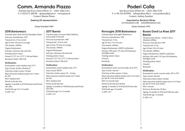# **Comm. Armando Piazzo**

Frazione San Rocco Seno d'Elvio, 31 – 12051 Alba (CN) T: (+39) 0173 286798 apiazzo@piazzo.it www.piazzo.it Contact: Marina Piazzo

**Seeking UK representation**

### Estate founded 1969

## **2018 Barbaresco**

Vineyard name: Rizzi, Rocche Massalupo, Pajoré First year of production: 1979 Vineyard size: 21 ha in total Age of vines: 30 years on average Vine density: 4500/ha Organic/biodynamic: Soil type: calcareous clay and marl Training system: Guyot Clone(s): CVT 141, CVT 71, R6 and others Rootstock: Kober 5 BB, SO4

### **Vinification**

Fermentation vessel: stainless steel, 27°C Type of yeast: Anchor Alchemy II Total time of skin contact: 20 days Main extraction method: pump-over 3 times per day MLF: stainless steel Period on the fine lees: Ageing: 12 months in 50 hl Slavonian and French oak casks Total bottle age: 8 to 12 months % ABV: 14.5

## **2017 Barolo**

Vineyard name: Cerviano-Merli, Pallareta, Sottocastello di Novello First year of production: 1985 Vineyard size: 13 ha in total Age of vines: 30 years on average Vine density: 4500/ha Organic/biodynamic: Soil type: calcareous clay and marl Training system: Guyot Clone(s): CVT 141, CVT 71, R6 and others Rootstock: Kober 5 BB, SO4

### **Vinification**

Fermentation vessel: stainless steel, 27°C Type of yeast: BRL97 Total time of skin contact: 20 – 25 days Main extraction method: pump-over 3 times per day MLF: stainless steel Period on the fine lees: Ageing: 12 months in 5 0hl Slavonian and French oak casks Total bottle age: 8 to 12 months % ABV: 14.5

# **Poderi Colla**

San Rocco Seno d'Elvio, 82 – 12051 Alba (CN) T: (+39) 324 5879091 info@podericolla.it www.podericolla.it Contact: Andrea Zarattini

> **Imported by: Boutinot Wines** www.boutinot.com tonyb@boutinot.com

> > Estate founded 1992

## **Roncaglie 2018 Barbaresco**

Vineyard name: Roncaglie (Barbaresco) First year of production: 1993 Vineyard size: 5.3 ha Age of vines: 12 to 45 years Vine density: 4500/ha Organic/biodynamic: SQNPI certification Soil type: 20% sand, 17% clay, 63% limestone, Sant'Agata marls Training system: Guyot Clone(s): Rootstock:

### **Vinification**

Fermentation vessel: concrete tanks, 28 to 32°C Type of yeast: selected Total time of skin contact: 15 days Main extraction method: pump-overs 2 to 6 times per day & 4 rack-and-returns MLF: in concrete tank Period on the fine lees: 60 days Ageing: 12 months in 10 hl and 60 hl oak casks Total bottle age: 12 months % ABV: 14.5

## **Bussia Dardi Le Rose 2017 Barolo**

Vineyard name: Bussia – Dardi Le Rose (Monforte d'Alba) First year of production: 1993 Vineyard size: 6.2 ha Age of vines: 30 to 45 years Vine density: 4000/ha Organic/biodynamic: SQNPI certification Soil type: 20% sand, 17% clay, 63% limestone, Sant'Agata marls Training system: Guyot Clone(s): Rootstock:

## **Vinification**

Fermentation vessel: concrete tanks, 28° to 32°C Type of yeast: selected Total time of skin contact: 20 days Main extraction method: pump-overs 2 to 6 times per day & 4 rack-and-returns MLF: concrete Period on the fine lees: 60 days Ageing: 24 months in 30 hl and 6 0hl oak casks Total bottle age: 12 months % ABV: 14.5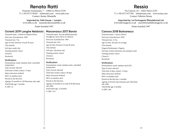# **Renato Ratti**

Frazione Annunziata, 7 – 12064 La Morra (CN) T: (+39) 0173 50185 info@ratti.com www.ratti.com Contact: Jimmy Minutella

**Imported by: Fells House – London** www.fells.co.uk manuela.falcione@fells.co.uk Estate founded 1997

### **Ochetti 2019 Langhe Nebbiolo Marcenasco 2017 Barolo**

Vineyard name: Ochetti in Monteu Roero First year of production: 1969 Vineyard size: 7 ha Age of vines: between 10 and 30 years Vine density: Soil type: sandy clay Training system: Guyot Clone(s): Rootstock: **Vinification**  Fermentation vessel: stainless steel, controlled

temperature Type of yeast: selected Total time of skin contact: 15 days Main extraction method: MLF: in stainless steel Period on the fine lees: Ageing: 10 months in 5 hl Slavonian oak casks Total bottle age: 3 months % ABV: 14

## Vineyard name: Rocche dell'Annunziata, Torriglione, Serra, Berri (La Morra) First year of production: 1965 Vineyard size: 9 ha Age of vines: between 10 and 40 years Vine density: Soil type: calcareous clay Training system: Guyot Clone(s): Rootstock:

### **Vinification**

Fermentation vessel: stainless steel, controlled temperature Type of yeast: selected Total time of skin contact: 30 days Main extraction method: MLF: in stainless steel Period on the fine lees: Ageing: 24 months in 25 and 30 hl Slavonian oak casks Total bottle age: 12 months % ABV: 14.5

# **Ressia**

Via Canova, 29 – 12052 Neive (CN) T: (+39) 0173 677305 info@ressia.com www.ressia.com Contact: Fabrizio Ressia

**Imported by: La Fromagerie (Marylebone) Ltd** www.lafromagerie.co.uk marylebone@lafromagerie.co.uk Estate founded 1997

## **Canova 2018 Barbaresco**

Vineyard name: Canova (Neive) First year of production: 1999 Vineyard size: 2.5 ha Age of vines: 40 years on average Vine density: Organic/biodynamic: Organic Soil type: mixed calcareous clay and grey marl Training system: Guyot Clone(s): Rootstock:

### **Vinification**

Fermentation vessel: stainless steel 28°C Type of yeast: selected Total time of skin contact: 12 days Main extraction method: MLF: in stainless steel Period on the fine lees: 2 months Ageing: in French oak tonneaux and Slavonian oak casks Total bottle age: 6 months % ABV: 14%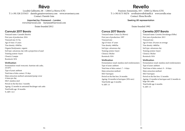# **Réva**

Località Gallinotto, 68 – 12064 La Morra (CN) T: (+39) 328 2155415 daniele.gaia@revawinery.com www.revawinery.com Contact: Daniele Gaia

> **Imported by: Friarwood – London** www.friarwood.com Auriane@friarwood.com Estate founded 2012

## **Cannubi 2017 Barolo**

Vineyard name: Cannubi (Barolo) First year of production: 2016 Vineyard size: 0.3 ha Age of vines: 15 years Vine density: 4500/ha Organic/biodynamic: organic Soil type: calcareous clay with a proportion of sand Training system: Guyot Clone(s): Lampia Rootstock: SO4

### **Vinification**

Fermentation vessel: tronconic Austrian oak casks, 23/24°C Type of yeast: ambient Total time of skin contact: 35 days Main extraction method: automated pump-ovesr 4 times per day MLF: stainless steel Period on the fine lees: 3 months Ageing: 12 months in untoasted Stockinger oak casks Total bottle age: 18 months % ABV: 14.5

# **Revello**

Frazione Annunziata, 103 – 12064 La Morra (CN) T: (+39) 0173 50276 revello@revellofratelli.it www.revello.wine Contact: Elena Revello

## **Seeking UK representation**

## Estate founded 1992

# **Conca 2017 Barolo**

Vineyard name: Conca (La Morra) First year of production: 1997 Vineyard size: Age of vines: 47 years Vine density: 4600/ha Soil type: calcareous clay Training system: Guyot Clone(s): Michet Rootstock: SO4

### **Vinification**

Fermentation vessel: stainless steel rotofermenters Type of yeast: ambient Total time of skin contact: 7 – 8 days Main extraction method: MLF: barriques Period on the fine lees: 24 months Ageing: 24 months in barriques (30% new) Total bottle age: 6 months % ABV: 15

# **Cerretta 2017 Barolo**

Vineyard name: Cerretta (Serralunga d'Alba) First year of production: 2013 Vineyard size: Age of vines: 20 years on average Vine density: 4600/ha Soil type: calcareous clay Training system: Guyot Clone(s): Michet Rootstock: SO4

### **Vinification**

Fermentation vessel: stainless steel rotofermenters Type of yeast: ambient Total time of skin contact: 9 – 10 days Main extraction method: MLF: barriques Period on the fine lees: 12 months Ageing: 12 months in barriques and 12 months in large oak casks Total bottle age: 6 months % ABV: 15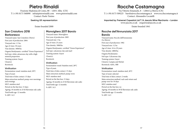# **Pietro Rinaldi**

Frazione Madonna di Como, 88 – 12051 Alba (CN) T: (+39) 0173 360090 info@pietrorinaldi.com www.pietrorinaldi.com Contact: Paolo Tenino

**Seeking UK representation**

### Estate founded 2000

## **San Cristoforo 2018 Barbaresco**

Vineyard name: San Cristoforo (Neive) First year of production: 2004 Vineyard size: 1.5 ha Age of vines: 30 years Vine density: 3000/ha Organic/biodynamic: certified "Green Experience" Soil type: white calcareous clay with a high mineral proportion Training system: Guyot Clone(s): Rootstock:

### **Vinification**

Fermentation vessel: stainless steel, 28°C Type of yeast: Total time of skin contact: 15 days Main extraction method: pump-over mornings and evenings MLF: stainless steel Period on the fine lees: 15 days Ageing: 18 months in 25 hl Slavonian oak casks Total bottle age: 12 months % ABV· 14.5

## **Monvigliero 2017 Barolo**

Vineyard name: Monvigliero First year of production: 2005 Vineyard size: 1 ha Age of vines: 25 years Vine density: 3000/ha Organic/biodynamic: certified "Green Experience" Soil type: calcareous clay and marl Training system: Guyot Clone(s): Rootstock:

### **Vinification**

Fermentation vessel: Stainless steel, 28°C Type of yeast: Total time of skin contact: 15 days Main extraction method: pump-overs MLF: stainless steel Period on the fine lees: 15 days Ageing: 18 months in 25 hl Slavonian oak casks Total bottle age: 12 months % ABV: 14.5

# **Rocche Costamagna**

Via Vittorio Emanuele, 8 – 12064 La Morra (CN) T: (+39) 0173 509225 barolo@rocchecostamagna.it www.rocchecostamagna.it Contact: Alessandro Locatelli

**Imported by: Freixenet Copestick Ltd T/A Jascots Wine Merchants – London** www.jascots.co.uk enquiries@jascots.co.uk

Estate founded 1841

# **Rocche dell'Annunziata 2017**

## **Barolo**

Vineyard name: Rocche dell'Annunziata (La Morra) First year of production: 1982 Vineyard size: 3.2 ha Age of vines: 16 to 29 years Vine density: 4800/ha Organic/biodynamic: Soil type: Calcareous clay Training system: Guyot Clone(s): Lampia and Michet Rootstock: 420A, 5BB

### **Vinification**

Fermentation vessel: stainless steel, 26°C Type of yeast: selected Total time of skin contact: 2 weeks Main extraction method: rack-and-return and pump-over for 10 days MLF: stainless steel Period on the fine lees: no Ageing: 18 months in 30 hl Slavonian oak casks Total bottle age: 12 months % ABV· 14.5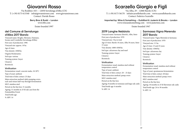# **Giovanni Rosso**

Via Roddino 10/1 – 12050 Serralunga d'Alba (CN) T: (+39) 0173 613340 info@giovannirosso.com www.giovannirosso.com Contact: Davide Rosso

**Berry Bros & Rudd – London**

www.bbr.com

Estate founded 1997

# **del Comune di Serralunga d'Alba 2017 Barolo**

Vineyard name: Broglio, Meriame, Damiano, Sorano and Costabella (Serralunga d'Alba) First year of production: 1996 Vineyard size: approx. 10 ha Age of vines: Vine density: 4500/ha Organic/biodynamic: Soil type: various Training system: Guyot Clone(s): Rootstock:

## **Vinification**

Fermentation vessel: concrete tanks, 18-30°C Type of yeast: ambient Total time of skin contact: 25 days Main extraction method: daily pumping-overs, rack-and-return half-way through fermentation MLF: stainless steel Period on the fine lees: 31 months Ageing: 31 months in 25 hl oak cass from the Fontainebleu Forest Total bottle age:

% ABV: 14

# **Scarzello Giorgio e Figli**

Via Alba, 29 – 12060 Barolo (CN) T: (+39) 0173 56170 info@scarzellobarolo.com www.scarzellobarolo.com Contact: Federico Scarzello

**Imported by: Wine & Something – Guildford & Justerini & Brooks – London**  www.wineandsomething.com www.justerinis.com

Estate founded 1947

# **2019 Langhe Nebbiolo**

Vineyard name: Sarmassa (Barolo), Alba, Sinio First year of production: 1970 Vineyard size: 3 ha in total Age of vines: Barolo 10 years, Alba 50 years, Sinio 15 years Vine density: 4000-4500/ha Soil type: calcareous clay and marl Training system: Guyot Clone(s): Rootstock:

### **Vinification**

Fermentation vessel: stainless steel without temperature control Type of yeast: ambient Total time of skin contact: 20 – 25 days Main extraction method: pump-overs MLF: stainless steel Period on the fine lees: Ageing: 8 months in tonneaux and large oak casks Total bottle age: 6 months % ABV: 14

# **Sarmassa Vigna Merenda 2017 Barolo**

Vineyard name: Vigna Merenda in Sarmassa First year of production: 1978 Vineyard size: 3.5 ha Age of vines: 15 and 25 years Vine density: 4500/ha Soil type: calcareous clay Training system: Guyot Clone(s): Rootstock: **Vinification** 

Fermentation vessel: stainless steel without temperature control Type of yeast: spontaneous fermentation Total time of skin contact: 40 days Main extraction method: pump-overs MLF: stainless steel Period on the fine lees: Ageing: 18 months in 25 hl Slavonian oak casks Total bottle age: 24 to 30 months % ABV: 14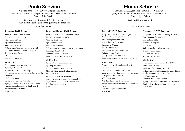# **Paolo Scavino**

Via Alba Barolo, 157 – 12060 Castiglione Falletto (CN) T: (+39) 0173 62850 elisa@paoloscavino.com www.paoloscavino.com Contact: Elisa Scavino

> **Imported by: Justerini & Brooks, London** www.justerinis.com giles.burke-gaffney@justerines.com Estate founded 1921

## **Ravera 2017 Barolo**

Vineyard name: Ravera (Novello) First year of production: 2015 Vineyard size: 2.9 ha Age of vines: 16 years Vine density: 4300/ha Soil type: Sant'Agata marls (lower part) with sandstone from Diano D'Alba (upper part) Training system: Guyot Clone(s): Lampia

Rootstock: Rupestris du Lot

### **Vinification**

Fermentation vessel: stainless steel Type of yeast: ambient Total time of skin contact: 10 days Main extraction method: submerged cap (cappello sommerso) MLF: in barriques Period on the fine lees: 9 months Ageing: 10 months in barriques, 12 months in large oak casks, 10 months in stainless steel Total bottle age: 6 months % ABV: 14

# **Bric del Fiasc 2017 Barolo**

Vineyard name: Fiasco (Castiglione Falletto) First year of production: 1978 Vineyard size: 2.7 ha Age of vines: 32 years Vine density: 4800/ha Soil type: Sant'Agata marls mixed with sandstone Training system: Guyot Clone(s): Lampia and Michet Rootstock: Kober 5BB, 420A, SO4

### **Vinification**

Fermentation vessel: stainless steel Type of yeast: ambient Total time of skin contact: 10 days Main extraction method: submerged cap MLF: barriques Period on the fine lees: 9 months Ageing: 10 months in barriques, 12 months in large oak casks, 10 months in stainless steel Total bottle age: 6 months % ABV: 14.5

# **Mauro Sebaste**

Via Garibaldi, 222/bis, Frazione Gallo – 12051 Alba (CN) T: (+39) 0173 262148 info@maurosebaste.it www.maurosebaste.it Contact: Sylla Sebaste

### **Seeking UK representation**

## Estate founded 1981

## **Tresuri' 2017 Barolo**

Vineyard name: Cerretta (Serralunga d'Alba), Roncaglie (La Morra), Verduno First year of production: 2009 Vineyard size: 3.5 ha in total Age of vines: 30 years Vine density: 4500/ha Soil type: marl and calcareous clay Training system: Guyot Clone(s): CN111, CN142, 71B Rootstock: Kober 5BB, 420A, SO4, 110 Richter

### **Vinification**

Fermentation vessel: stainless steel, 28°C Type of yeast: selected Total time of skin contact: 16 – 25 days Main extraction method: punching-down 4 times a day, pump-overs twice a day MLF: stainless steel Period on the fine lees: 2 – 3 months Ageing: 30 months in 500l and 15 hl French oak casks Total bottle age: 6 to 12 months % ABV: 14.5

# **Cerretta 2017 Barolo**

Vineyard name: Cerretta (Serralunga d'Alba) First year of production: 2014 Vineyard size: 1.3ha Age of vines: 25 years Vine density: 5500/ha Soil type: marl and calcareous clay Training system: Guyot Clone(s): 71B Michet Rootstock: 420A, SO4

### **Vinification**

Fermentation vessel: stainless steel, 28°C Type of yeast: selected Total time of skin contact: 16/25 days Main extraction method: punching-down 4 times per day, pump-over 2 times per day, MLF: stainless steel Period on the fine lees: 2/3 months Ageing: 30 months in 500/1500l French oak casks Total bottle age: between 6 and 12 months % ABV: 14.5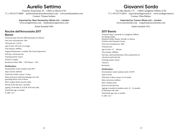# **Aurelio Settimo**

Frazione Annunziata 30 – 12064 La Morra (CN) T: (+39) 0173 50803 aureliosettimo@aureliosettimo.com www.aureliosettimo.com Contact: Tiziana Settimo

> **Imported by: New Generation Wines Ltd – London** www.newgenwines.com london@newgenwines.com

> > Estate founded 1962

## **Rocche dell'Annunziata 2017 Barolo**

Vineyard name: Rocche dell'Annunziata (La Morra) First year of production: 1961 Vineyard size: 3.42 ha Age of vines: 40 years on average Vine density: 4500/ha Organic/biodynamic: certified 'The Green Experience' Soil type: calcareous clay Training system: Guyot Clone(s): Lampia Rootstock: Kober 5BB – 1103 Pausen – SO4

## **Vinification**

Fermentation vessel: stainless steel 28°C Type of yeast: ambient Total time of skin contact: 12 days Main extraction method: pumping-over and punching-down every 6 hours MLF: in glass-lined concrete tanks Period on the fine lees: 5 months Ageing: 18 months in 25 hl & 30 hl oak casks Total bottle age: 4 months % ABV: 14.5

# **Giovanni Sordo**

Via Alba-Barolo, 175 – 12060 Castiglione Falletto (CN) T: (+39) 0173 62853 export@sordogiovanni.it www.sordogiovanni.it Contact: Elisa Rabino

> **Imported by: Carson Wines Ltd – London** www.carsonwines.com enquiries@carsonwines.com

> > Estate founded 1912

## **2017 Barolo**

Vineyard name: vineyards in Castiglione Falletto, Serralunga d'Alba, Monforte d'Alba, Barolo, Novello, La Morra, Verduno and Grinzane Cavour First year of production: 1960 Vineyard size: Age of vines: 15 – 40years Vine density: 4000/ha Soil type: sand and limestone with a proportion of calcareous marl and clay Training system: Guyot Clone(s): Rootstock:

### **Vinification**  Fermentation vessel: stainless steel, 25/28°C Type of yeast:

Total time of skin contact: 6 to 8 weeks Main extraction method: MLF: stainless steel Period on the fine lees: Ageing: 6 months in stainless steel, 18 – 24 months in Slavonian oak casks Total bottle age: min. 6 months % ABV: 14.5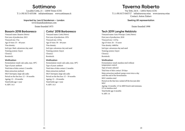# **Sottimano**

Località Cottà, 21 – 12050 Treiso (CN) T: (+39) 0173 635186 info@sottimano www.sottimano.it

> **Imported by: Lea & Sandeman – London** www.leaandsandeman.com

> > Estate founded 1975

## **Basarin 2018 Barbaresco**

Vineyard name: Basarin (Neive) First year of production: 2015 Vineyard size: 3 ha Age of vines: 25 – 60 years Vine density: Soil type: Marl, calcareous clay, sand Training system: Guyot Clone(s): Rootstock:

### **Vinification**

Fermentation vessel: oak casks, max. 30°C Type of yeast: ambient Total time of skin contact: 2 months Main extraction method: MLF: barriques, large oak casks Period on the fine lees: 12 – 18 months Ageing: 12 – 18 months Total bottle age: 1 year % ABV: 14.5

# **Cotta' 2018 Barbaresco**

Vineyard name: Cottà (Neive) First year of production: 1976 Vineyard size: 2.8 ha Age of vines: 50 – 60 years Vine density: Soil type: calcareous clay and sand Training system: Guyot Clone(s): Rootstock:

### **Vinification**

Fermentation vessel: oak casks, max. 30°C Type of yeast: ambient Total time of skin contact: 2 months Main extraction method: MLF: barriques, large oak casks Period on the fine lees: 12 – 18 months Ageing: 12 – 18 months Total bottle age: 1 year % ABV: 14.5

# **Taverna Roberto**

Via Tetti, 24/A – 12052 Neive (CN) T: (+39) 0173 045717 info@taverna.wine www.taverna.wine Contact: Anton Zaitsev

### **Seeking UK representation**

Estate founded 1998

## **Tech 2019 Langhe Nebbiolo**

Vineyard name: Gaia-Principe, Cottà (Neive) First year of production: 2018 Vineyard size: 1.42 ha Age of vines: 26 – 53 years Vine density: 4400/ha Soil type: calcareous clay and sand Training system: Guyot Clone(s): Rootstock:

### **Vinification**

Fermentation vessel: stainless steel without temperature control Type of yeast: selected Total time of skin contact: 20 days Main extraction method: pump-overs twice a day until the end of the fermentation MLF: stainless steel Period on the fine lees: racked off the lees just after MLF Ageing: 14 months. 1/3 in 400l French oak tonneaux, 2/3 in stainless steel Total bottle age: 6 months % ABV: 14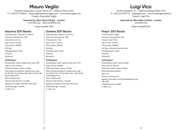# **Mauro Veglio**

Frazione Annunziata, Cascina Nuova 50 – 12064 La Morra (CN) T: (+39) 0173 509212 mauroveglio@mauroveglio.com www.mauroveglio.com Contact: Alessandro Veglio

> **Imported by: Berry Bros & Rudd – London** www.bbr.com davy.zyw@bbr.com Estate founded 1992

## **Arborina 2017 Barolo**

Vineyard name: Arborina (La Morra) First year of production: 1992 Vineyard size: 2.5 ha Age of vines: 35 years Vine density: 5000/ha Soil type: Training system: Guyot Clone(s): Rootstock:

### **Vinification**

Fermentation vessel: stainless steel, max. 28°C Type of yeast: ambient Total time of skin contact: 25 days Main extraction method: 2 pump-overs a day for the first 18 to 20 days, then once a day for the remaining period MLF: stainless steel Period on the fine lees: 2 months Ageing: 24 months in barrique (30% new) Total bottle age: 7 months % ABV· 14.5

# **Gattera 2017 Barolo**

Vineyard name: Gattera (La Morra) First year of production: 1992 Vineyard size: 3.5ha Age of vines: 70 years Vine density: 5000/ha Soil type: Training system: Guyot Clone(s): Rootstock:

### **Vinification**

Fermentation vessel: stainless steel, max. 28°C Type of yeast: ambient Total time of skin contact: 25 days Main extraction method: 2 pump-overs a day for the first 18 to 20 days, then once a day for the remaining period MLF: stainless steel Period on the fine lees: 2 months Ageing: 24 months in barrique (30% new) Total bottle age: 7 months % ABV· 14.5

# **Luigi Vico**

Via XX Settembre, 13 – 12060 Serralunga d'Alba (CN) T: (+39) 335 6547772 pr@luigivico.it www.serralungacasamia.it Contact: Luigi Vico

> **Imported by: Berry Bros & Rudd – London** www.bbr.com

> > Estate founded 2016

## **Prapo' 2017 Barolo**

Vineyard name: Prapò First year of production: 2016 Vineyard size: 0.8 ha Age of vines: 23 years Vine density: 3000/ha Soil type: calcareous clay and marl Training system: Guyot Clone(s): Rootstock:

### **Vinification**

Fermentation vessel: concrete tanks Type of yeast: selected Total time of skin contact: 28 days Main extraction method: MLF: yes Period on the fine lees: Ageing: 24 months in 25 hl Fontainebleau forest oak casks Total bottle age: 6 months % ABV: 14.5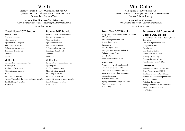# **Vietti**

Piazza V. Veneto, 1 – 12060 Castiglione Falletto (CN) T: (+39) 0173 62825 info@vietti.com www.vietti.com Contact: Luca Currado Vietti

**Imported by: Matthew Clark Bibendum**  www.matthewclark.co.uk enquiries@matthewclark.co.uk Estate founded 1873

# **Castiglione 2017 Barolo**

Vineyard name: First year of production: Vineyard size: Age of vines: 7 – 35 years Vine density: 4500/ha Soil type: calcareous clay Training system: Guyot Clone(s): Rootstock:

### **Vinification**

Fermentation vessel: stainless steel Type of yeast: Total time of skin contact: Main extraction method: MLF: Period on the fine lees: Ageing: 30 months in barriques and large oak casks Total bottle age: 8 months % ABV: 14.5

# **Ravera 2017 Barolo**

Vineyard name: Ravera (Novello) First year of production: Vineyard size: 3 ha Age of vines: 45 years Vine density: 4500/ha Soil type: calcareous clay Training system: Guyot Clone(s): Rootstock:

### **Vinification**

Fermentation vessel: stainless steel Type of yeast: Total time of skin contact: Main extraction method: MLF: large oak casks Period on the fine lees: Ageing: 30 months in large oak casks Total bottle age: 8 months % ABV: 14.5

# **Vite Colte**

Via Bergesia, 6 – 12060 Barolo (CN) T: (+39) 0173 564611 torrengo@vitecolte.it www.vitecolte.it Contact: Cristina Torrengo

> **Imported by: Vinumterra** www.vinumterra.co-uk vt@vinumterra.co.uk

> > Estate founded 1980

## **Paesi Tuoi 2017 Barolo**

Vineyard name: Serralunga d'Alba, Monforte d'Alba, Barolo First year of production: 1990 Vineyard size: 20 ha Age of vines: Vine density: 4000/ha Soil type: calcareous clay and marl Training system: Guyot Clone(s): Lampia, Michet Rootstock: Kober 5BB, 420A

### **Vinification**

Fermentation vessel: stainless steel Type of yeast: selected BRL97 Total time of skin contact: 25 days Main extraction method: pump-overs MLF: stainless steel Period on the fine lees: Ageing: 24 months in large oak casks Total bottle age: 6 months % ABV: 14.5

# **Essenze – del Comune di Barolo 2017 Barolo**

Vineyard name: La Volta, Albarella, Bricco delle Viole First year of production: 2010 Vineyard size: 4 ha Age of vines: Vine density: 4000/ha Soil type: calcareous clay Training system: Guyot Clone(s): Lampia, Michet Rootstock: Kober 5BB, 420A

### **Vinification**

Fermentation vessel: stainless steel Type of yeast: selected BRL97 Total time of skin contact: 20 days Main extraction method: pump-overs MLF: stainless steel Period on the fine lees: Ageing: 24 months in small oak casks Total bottle age: 12 months % ABV: 14.5